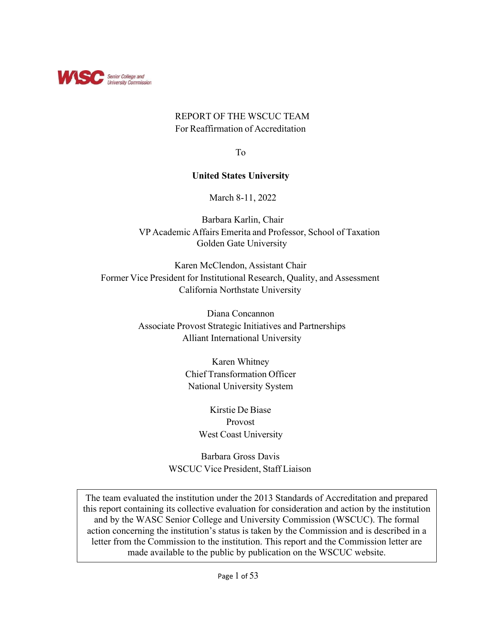

# REPORT OF THE WSCUC TEAM For Reaffirmation of Accreditation

To

# **United States University**

March 8-11, 2022

Barbara Karlin, Chair VP Academic Affairs Emerita and Professor, School of Taxation Golden Gate University

Karen McClendon, Assistant Chair Former Vice President for Institutional Research, Quality, and Assessment California Northstate University

> Diana Concannon Associate Provost Strategic Initiatives and Partnerships Alliant International University

> > Karen Whitney Chief Transformation Officer National University System

> > > Kirstie De Biase Provost West Coast University

Barbara Gross Davis WSCUC Vice President, Staff Liaison

The team evaluated the institution under the 2013 Standards of Accreditation and prepared this report containing its collective evaluation for consideration and action by the institution and by the WASC Senior College and University Commission (WSCUC). The formal action concerning the institution's status is taken by the Commission and is described in a letter from the Commission to the institution. This report and the Commission letter are made available to the public by publication on the WSCUC website.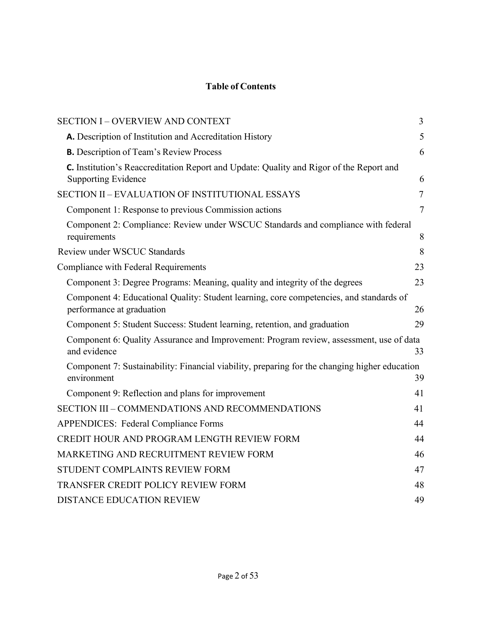# **Table of Contents**

| <b>SECTION I - OVERVIEW AND CONTEXT</b>                                                                              | 3              |
|----------------------------------------------------------------------------------------------------------------------|----------------|
| A. Description of Institution and Accreditation History                                                              | 5              |
| <b>B.</b> Description of Team's Review Process                                                                       | 6              |
| C. Institution's Reaccreditation Report and Update: Quality and Rigor of the Report and                              |                |
| <b>Supporting Evidence</b>                                                                                           | 6              |
| <b>SECTION II - EVALUATION OF INSTITUTIONAL ESSAYS</b>                                                               | $\tau$         |
| Component 1: Response to previous Commission actions                                                                 | $\overline{7}$ |
| Component 2: Compliance: Review under WSCUC Standards and compliance with federal<br>requirements                    | 8              |
| Review under WSCUC Standards                                                                                         | 8              |
| <b>Compliance with Federal Requirements</b>                                                                          | 23             |
| Component 3: Degree Programs: Meaning, quality and integrity of the degrees                                          | 23             |
| Component 4: Educational Quality: Student learning, core competencies, and standards of<br>performance at graduation | 26             |
| Component 5: Student Success: Student learning, retention, and graduation                                            | 29             |
| Component 6: Quality Assurance and Improvement: Program review, assessment, use of data<br>and evidence              | 33             |
| Component 7: Sustainability: Financial viability, preparing for the changing higher education<br>environment         | 39             |
| Component 9: Reflection and plans for improvement                                                                    | 41             |
| SECTION III - COMMENDATIONS AND RECOMMENDATIONS                                                                      | 41             |
| <b>APPENDICES: Federal Compliance Forms</b>                                                                          | 44             |
| CREDIT HOUR AND PROGRAM LENGTH REVIEW FORM                                                                           | 44             |
| MARKETING AND RECRUITMENT REVIEW FORM                                                                                | 46             |
| STUDENT COMPLAINTS REVIEW FORM                                                                                       | 47             |
| TRANSFER CREDIT POLICY REVIEW FORM                                                                                   | 48             |
| <b>DISTANCE EDUCATION REVIEW</b>                                                                                     | 49             |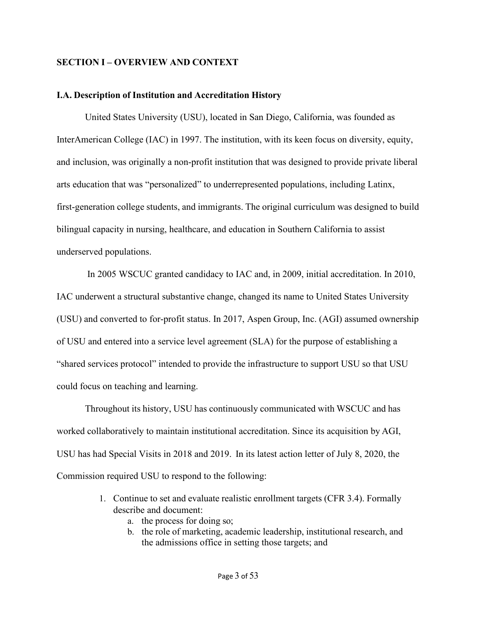# **SECTION I – OVERVIEW AND CONTEXT**

## **I.A. Description of Institution and Accreditation History**

United States University (USU), located in San Diego, California, was founded as InterAmerican College (IAC) in 1997. The institution, with its keen focus on diversity, equity, and inclusion, was originally a non-profit institution that was designed to provide private liberal arts education that was "personalized" to underrepresented populations, including Latinx, first-generation college students, and immigrants. The original curriculum was designed to build bilingual capacity in nursing, healthcare, and education in Southern California to assist underserved populations.

In 2005 WSCUC granted candidacy to IAC and, in 2009, initial accreditation. In 2010, IAC underwent a structural substantive change, changed its name to United States University (USU) and converted to for-profit status. In 2017, Aspen Group, Inc. (AGI) assumed ownership of USU and entered into a service level agreement (SLA) for the purpose of establishing a "shared services protocol" intended to provide the infrastructure to support USU so that USU could focus on teaching and learning.

Throughout its history, USU has continuously communicated with WSCUC and has worked collaboratively to maintain institutional accreditation. Since its acquisition by AGI, USU has had Special Visits in 2018 and 2019. In its latest action letter of July 8, 2020, the Commission required USU to respond to the following:

- 1. Continue to set and evaluate realistic enrollment targets (CFR 3.4). Formally describe and document:
	- a. the process for doing so;
	- b. the role of marketing, academic leadership, institutional research, and the admissions office in setting those targets; and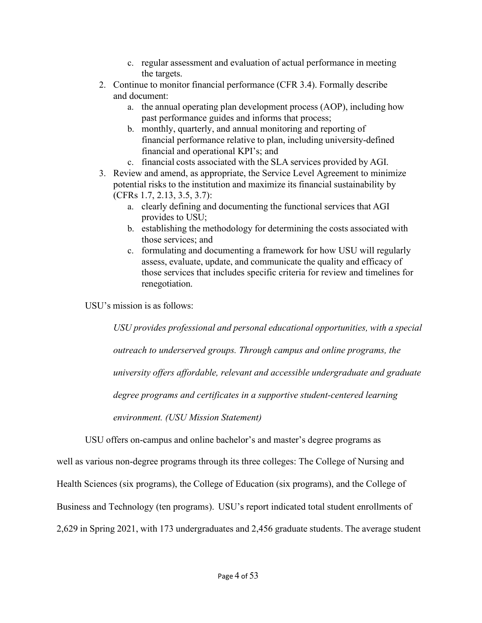- c. regular assessment and evaluation of actual performance in meeting the targets.
- 2. Continue to monitor financial performance (CFR 3.4). Formally describe and document:
	- a. the annual operating plan development process (AOP), including how past performance guides and informs that process;
	- b. monthly, quarterly, and annual monitoring and reporting of financial performance relative to plan, including university-defined financial and operational KPI's; and
	- c. financial costs associated with the SLA services provided by AGI.
- 3. Review and amend, as appropriate, the Service Level Agreement to minimize potential risks to the institution and maximize its financial sustainability by (CFRs 1.7, 2.13, 3.5, 3.7):
	- a. clearly defining and documenting the functional services that AGI provides to USU;
	- b. establishing the methodology for determining the costs associated with those services; and
	- c. formulating and documenting a framework for how USU will regularly assess, evaluate, update, and communicate the quality and efficacy of those services that includes specific criteria for review and timelines for renegotiation.

USU's mission is as follows:

*USU provides professional and personal educational opportunities, with a special outreach to underserved groups. Through campus and online programs, the university offers affordable, relevant and accessible undergraduate and graduate degree programs and certificates in a supportive student-centered learning environment. (USU Mission Statement)*

USU offers on-campus and online bachelor's and master's degree programs as

well as various non-degree programs through its three colleges: The College of Nursing and

Health Sciences (six programs), the College of Education (six programs), and the College of

Business and Technology (ten programs). USU's report indicated total student enrollments of

2,629 in Spring 2021, with 173 undergraduates and 2,456 graduate students. The average student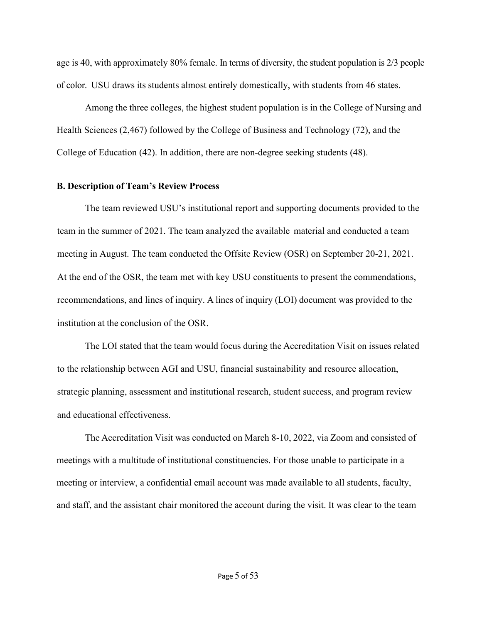age is 40, with approximately 80% female. In terms of diversity, the student population is 2/3 people of color. USU draws its students almost entirely domestically, with students from 46 states.

Among the three colleges, the highest student population is in the College of Nursing and Health Sciences (2,467) followed by the College of Business and Technology (72), and the College of Education (42). In addition, there are non-degree seeking students (48).

#### <span id="page-4-0"></span>**B. Description of Team's Review Process**

The team reviewed USU's institutional report and supporting documents provided to the team in the summer of 2021. The team analyzed the available material and conducted a team meeting in August. The team conducted the Offsite Review (OSR) on September 20-21, 2021. At the end of the OSR, the team met with key USU constituents to present the commendations, recommendations, and lines of inquiry. A lines of inquiry (LOI) document was provided to the institution at the conclusion of the OSR.

The LOI stated that the team would focus during the Accreditation Visit on issues related to the relationship between AGI and USU, financial sustainability and resource allocation, strategic planning, assessment and institutional research, student success, and program review and educational effectiveness.

The Accreditation Visit was conducted on March 8-10, 2022, via Zoom and consisted of meetings with a multitude of institutional constituencies. For those unable to participate in a meeting or interview, a confidential email account was made available to all students, faculty, and staff, and the assistant chair monitored the account during the visit. It was clear to the team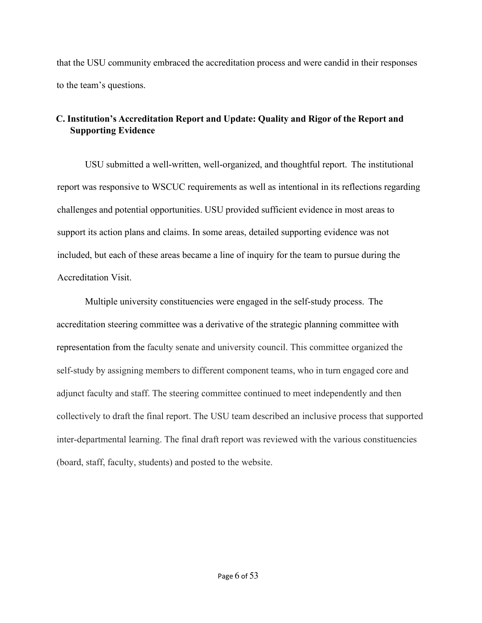that the USU community embraced the accreditation process and were candid in their responses to the team's questions.

# **C. Institution's Accreditation Report and Update: Quality and Rigor of the Report and Supporting Evidence**

USU submitted a well-written, well-organized, and thoughtful report. The institutional report was responsive to WSCUC requirements as well as intentional in its reflections regarding challenges and potential opportunities. USU provided sufficient evidence in most areas to support its action plans and claims. In some areas, detailed supporting evidence was not included, but each of these areas became a line of inquiry for the team to pursue during the Accreditation Visit.

Multiple university constituencies were engaged in the self-study process. The accreditation steering committee was a derivative of the strategic planning committee with representation from the faculty senate and university council. This committee organized the self-study by assigning members to different component teams, who in turn engaged core and adjunct faculty and staff. The steering committee continued to meet independently and then collectively to draft the final report. The USU team described an inclusive process that supported inter-departmental learning. The final draft report was reviewed with the various constituencies (board, staff, faculty, students) and posted to the website.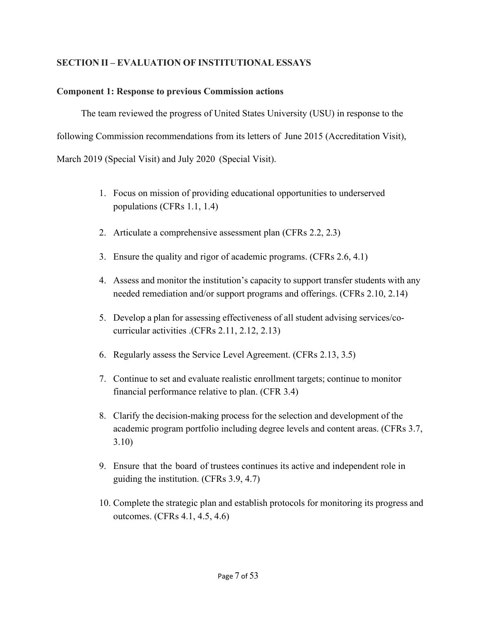# <span id="page-6-0"></span>**SECTION II – EVALUATION OF INSTITUTIONAL ESSAYS**

# <span id="page-6-1"></span>**Component 1: Response to previous Commission actions**

The team reviewed the progress of United States University (USU) in response to the following Commission recommendations from its letters of June 2015 (Accreditation Visit), March 2019 (Special Visit) and July 2020 (Special Visit).

- 1. Focus on mission of providing educational opportunities to underserved populations (CFRs 1.1, 1.4)
- 2. Articulate a comprehensive assessment plan (CFRs 2.2, 2.3)
- 3. Ensure the quality and rigor of academic programs. (CFRs 2.6, 4.1)
- 4. Assess and monitor the institution's capacity to support transfer students with any needed remediation and/or support programs and offerings. (CFRs 2.10, 2.14)
- 5. Develop a plan for assessing effectiveness of all student advising services/cocurricular activities .(CFRs 2.11, 2.12, 2.13)
- 6. Regularly assess the Service Level Agreement. (CFRs 2.13, 3.5)
- 7. Continue to set and evaluate realistic enrollment targets; continue to monitor financial performance relative to plan. (CFR 3.4)
- 8. Clarify the decision-making process for the selection and development of the academic program portfolio including degree levels and content areas. (CFRs 3.7, 3.10)
- 9. Ensure that the board of trustees continues its active and independent role in guiding the institution. (CFRs 3.9, 4.7)
- 10. Complete the strategic plan and establish protocols for monitoring its progress and outcomes. (CFRs 4.1, 4.5, 4.6)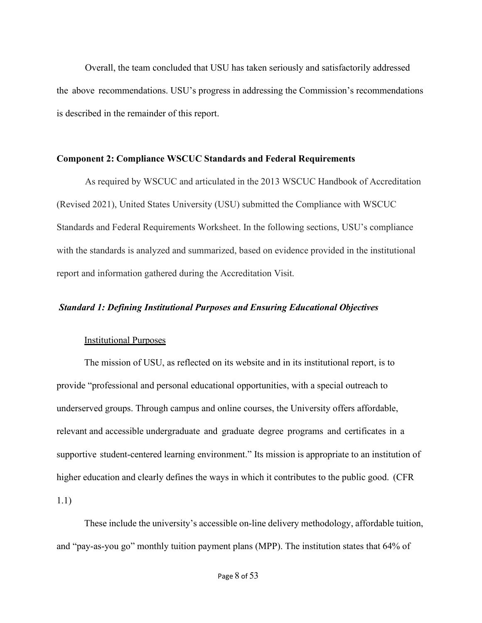Overall, the team concluded that USU has taken seriously and satisfactorily addressed the above recommendations. USU's progress in addressing the Commission's recommendations is described in the remainder of this report.

#### **Component 2: Compliance WSCUC Standards and Federal Requirements**

As required by WSCUC and articulated in the 2013 WSCUC Handbook of Accreditation (Revised 2021), United States University (USU) submitted the Compliance with WSCUC Standards and Federal Requirements Worksheet. In the following sections, USU's compliance with the standards is analyzed and summarized, based on evidence provided in the institutional report and information gathered during the Accreditation Visit.

## *Standard 1: Defining Institutional Purposes and Ensuring Educational Objectives*

# Institutional Purposes

The mission of USU, as reflected on its website and in its institutional report, is to provide "professional and personal educational opportunities, with a special outreach to underserved groups. Through campus and online courses, the University offers affordable, relevant and accessible undergraduate and graduate degree programs and certificates in a supportive student-centered learning environment." Its mission is appropriate to an institution of higher education and clearly defines the ways in which it contributes to the public good. (CFR 1.1)

These include the university's accessible on-line delivery methodology, affordable tuition, and "pay-as-you go" monthly tuition payment plans (MPP). The institution states that 64% of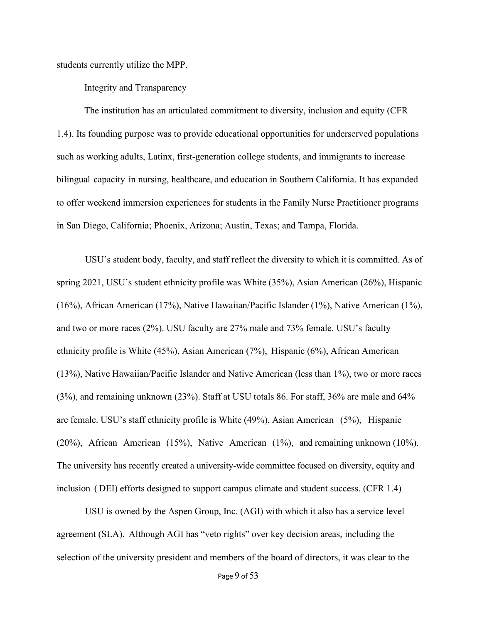students currently utilize the MPP.

#### Integrity and Transparency

The institution has an articulated commitment to diversity, inclusion and equity (CFR 1.4). Its founding purpose was to provide educational opportunities for underserved populations such as working adults, Latinx, first-generation college students, and immigrants to increase bilingual capacity in nursing, healthcare, and education in Southern California. It has expanded to offer weekend immersion experiences for students in the Family Nurse Practitioner programs in San Diego, California; Phoenix, Arizona; Austin, Texas; and Tampa, Florida.

USU's student body, faculty, and staff reflect the diversity to which it is committed. As of spring 2021, USU's student ethnicity profile was White (35%), Asian American (26%), Hispanic (16%), African American (17%), Native Hawaiian/Pacific Islander (1%), Native American (1%), and two or more races (2%). USU faculty are 27% male and 73% female. USU's faculty ethnicity profile is White (45%), Asian American (7%), Hispanic (6%), African American (13%), Native Hawaiian/Pacific Islander and Native American (less than 1%), two or more races (3%), and remaining unknown (23%). Staff at USU totals 86. For staff, 36% are male and 64% are female. USU's staff ethnicity profile is White (49%), Asian American (5%), Hispanic (20%), African American (15%), Native American (1%), and remaining unknown (10%). The university has recently created a university-wide committee focused on diversity, equity and inclusion ( DEI) efforts designed to support campus climate and student success. (CFR 1.4)

USU is owned by the Aspen Group, Inc. (AGI) with which it also has a service level agreement (SLA). Although AGI has "veto rights" over key decision areas, including the selection of the university president and members of the board of directors, it was clear to the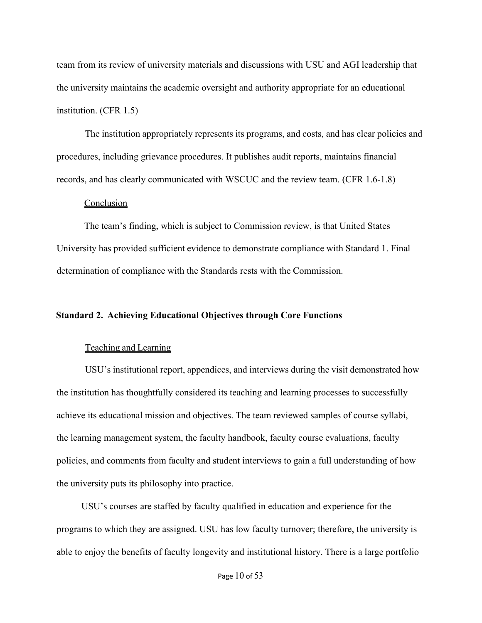team from its review of university materials and discussions with USU and AGI leadership that the university maintains the academic oversight and authority appropriate for an educational institution. (CFR 1.5)

The institution appropriately represents its programs, and costs, and has clear policies and procedures, including grievance procedures. It publishes audit reports, maintains financial records, and has clearly communicated with WSCUC and the review team. (CFR 1.6-1.8)

### Conclusion

The team's finding, which is subject to Commission review, is that United States University has provided sufficient evidence to demonstrate compliance with Standard 1. Final determination of compliance with the Standards rests with the Commission.

# **Standard 2. Achieving Educational Objectives through Core Functions**

#### Teaching and Learning

USU's institutional report, appendices, and interviews during the visit demonstrated how the institution has thoughtfully considered its teaching and learning processes to successfully achieve its educational mission and objectives. The team reviewed samples of course syllabi, the learning management system, the faculty handbook, faculty course evaluations, faculty policies, and comments from faculty and student interviews to gain a full understanding of how the university puts its philosophy into practice.

USU's courses are staffed by faculty qualified in education and experience for the programs to which they are assigned. USU has low faculty turnover; therefore, the university is able to enjoy the benefits of faculty longevity and institutional history. There is a large portfolio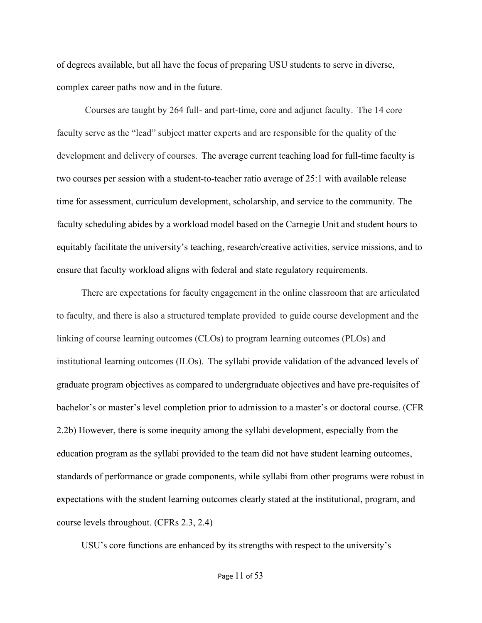of degrees available, but all have the focus of preparing USU students to serve in diverse, complex career paths now and in the future.

Courses are taught by 264 full- and part-time, core and adjunct faculty. The 14 core faculty serve as the "lead" subject matter experts and are responsible for the quality of the development and delivery of courses. The average current teaching load for full-time faculty is two courses per session with a student-to-teacher ratio average of 25:1 with available release time for assessment, curriculum development, scholarship, and service to the community. The faculty scheduling abides by a workload model based on the Carnegie Unit and student hours to equitably facilitate the university's teaching, research/creative activities, service missions, and to ensure that faculty workload aligns with federal and state regulatory requirements.

There are expectations for faculty engagement in the online classroom that are articulated to faculty, and there is also a structured template provided to guide course development and the linking of course learning outcomes (CLOs) to program learning outcomes (PLOs) and institutional learning outcomes (ILOs). The syllabi provide validation of the advanced levels of graduate program objectives as compared to undergraduate objectives and have pre-requisites of bachelor's or master's level completion prior to admission to a master's or doctoral course. (CFR 2.2b) However, there is some inequity among the syllabi development, especially from the education program as the syllabi provided to the team did not have student learning outcomes, standards of performance or grade components, while syllabi from other programs were robust in expectations with the student learning outcomes clearly stated at the institutional, program, and course levels throughout. (CFRs 2.3, 2.4)

USU's core functions are enhanced by its strengths with respect to the university's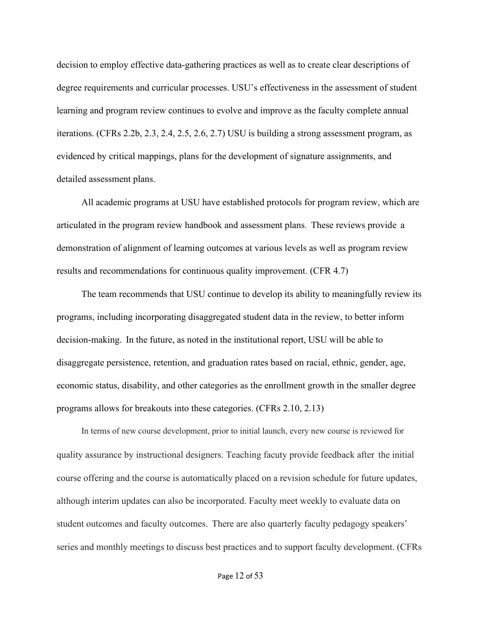decision to employ effective data-gathering practices as well as to create clear descriptions of degree requirements and curricular processes. USU's effectiveness in the assessment of student learning and program review continues to evolve and improve as the faculty complete annual iterations. (CFRs 2.2b, 2.3, 2.4, 2.5, 2.6, 2.7) USU is building a strong assessment program, as evidenced by critical mappings, plans for the development of signature assignments, and detailed assessment plans.

All academic programs at USU have established protocols for program review, which are articulated in the program review handbook and assessment plans. These reviews provide a demonstration of alignment of learning outcomes at various levels as well as program review results and recommendations for continuous quality improvement. (CFR 4.7)

The team recommends that USU continue to develop its ability to meaningfully review its programs, including incorporating disaggregated student data in the review, to better inform decision-making. In the future, as noted in the institutional report, USU will be able to disaggregate persistence, retention, and graduation rates based on racial, ethnic, gender, age, economic status, disability, and other categories as the enrollment growth in the smaller degree programs allows for breakouts into these categories. (CFRs 2.10, 2.13)

In terms of new course development, prior to initial launch, every new course is reviewed for quality assurance by instructional designers. Teaching facuty provide feedback after the initial course offering and the course is automatically placed on a revision schedule for future updates, although interim updates can also be incorporated. Faculty meet weekly to evaluate data on student outcomes and faculty outcomes. There are also quarterly faculty pedagogy speakers' series and monthly meetings to discuss best practices and to support faculty development. (CFRs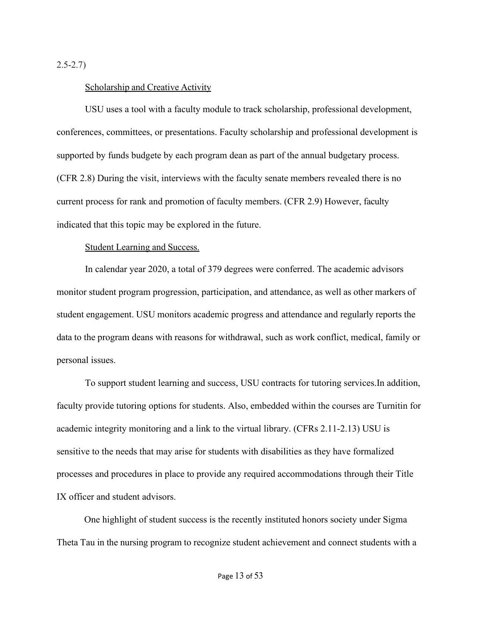2.5-2.7)

#### Scholarship and Creative Activity

USU uses a tool with a faculty module to track scholarship, professional development, conferences, committees, or presentations. Faculty scholarship and professional development is supported by funds budgete by each program dean as part of the annual budgetary process. (CFR 2.8) During the visit, interviews with the faculty senate members revealed there is no current process for rank and promotion of faculty members. (CFR 2.9) However, faculty indicated that this topic may be explored in the future.

## Student Learning and Success.

In calendar year 2020, a total of 379 degrees were conferred. The academic advisors monitor student program progression, participation, and attendance, as well as other markers of student engagement. USU monitors academic progress and attendance and regularly reports the data to the program deans with reasons for withdrawal, such as work conflict, medical, family or personal issues.

To support student learning and success, USU contracts for tutoring services.In addition, faculty provide tutoring options for students. Also, embedded within the courses are Turnitin for academic integrity monitoring and a link to the virtual library. (CFRs 2.11-2.13) USU is sensitive to the needs that may arise for students with disabilities as they have formalized processes and procedures in place to provide any required accommodations through their Title IX officer and student advisors.

One highlight of student success is the recently instituted honors society under Sigma Theta Tau in the nursing program to recognize student achievement and connect students with a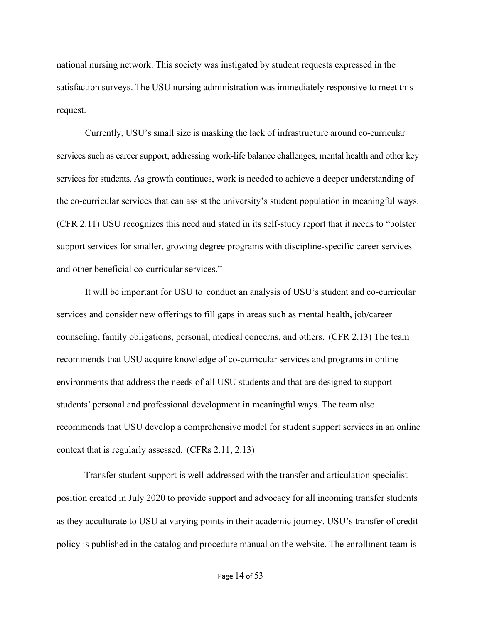national nursing network. This society was instigated by student requests expressed in the satisfaction surveys. The USU nursing administration was immediately responsive to meet this request.

Currently, USU's small size is masking the lack of infrastructure around co-curricular services such as career support, addressing work-life balance challenges, mental health and other key services for students. As growth continues, work is needed to achieve a deeper understanding of the co-curricular services that can assist the university's student population in meaningful ways. (CFR 2.11) USU recognizes this need and stated in its self-study report that it needs to "bolster support services for smaller, growing degree programs with discipline-specific career services and other beneficial co-curricular services."

It will be important for USU to conduct an analysis of USU's student and co-curricular services and consider new offerings to fill gaps in areas such as mental health, job/career counseling, family obligations, personal, medical concerns, and others. (CFR 2.13) The team recommends that USU acquire knowledge of co-curricular services and programs in online environments that address the needs of all USU students and that are designed to support students' personal and professional development in meaningful ways. The team also recommends that USU develop a comprehensive model for student support services in an online context that is regularly assessed. (CFRs 2.11, 2.13)

Transfer student support is well-addressed with the transfer and articulation specialist position created in July 2020 to provide support and advocacy for all incoming transfer students as they acculturate to USU at varying points in their academic journey. USU's transfer of credit policy is published in the catalog and procedure manual on the website. The enrollment team is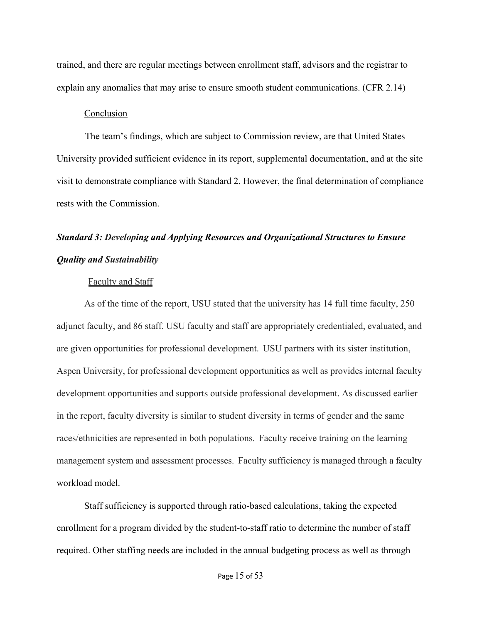trained, and there are regular meetings between enrollment staff, advisors and the registrar to explain any anomalies that may arise to ensure smooth student communications. (CFR 2.14)

#### Conclusion

The team's findings, which are subject to Commission review, are that United States University provided sufficient evidence in its report, supplemental documentation, and at the site visit to demonstrate compliance with Standard 2. However, the final determination of compliance rests with the Commission.

# *Standard 3: Developing and Applying Resources and Organizational Structures to Ensure Quality and Sustainability*

#### Faculty and Staff

As of the time of the report, USU stated that the university has 14 full time faculty, 250 adjunct faculty, and 86 staff. USU faculty and staff are appropriately credentialed, evaluated, and are given opportunities for professional development. USU partners with its sister institution, Aspen University, for professional development opportunities as well as provides internal faculty development opportunities and supports outside professional development. As discussed earlier in the report, faculty diversity is similar to student diversity in terms of gender and the same races/ethnicities are represented in both populations. Faculty receive training on the learning management system and assessment processes. Faculty sufficiency is managed through a faculty workload model.

Staff sufficiency is supported through ratio-based calculations, taking the expected enrollment for a program divided by the student-to-staff ratio to determine the number of staff required. Other staffing needs are included in the annual budgeting process as well as through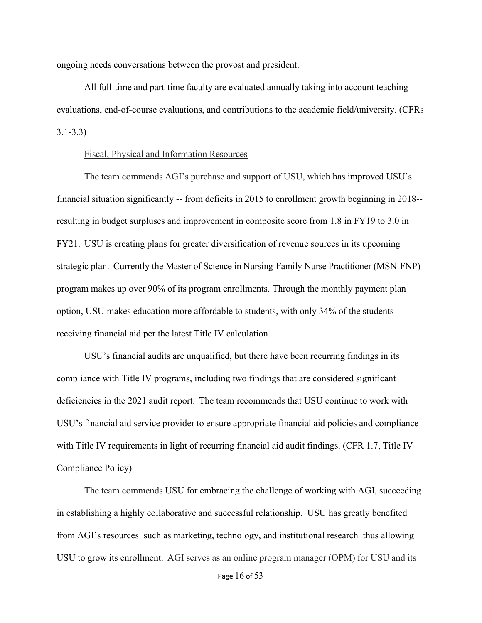ongoing needs conversations between the provost and president.

All full-time and part-time faculty are evaluated annually taking into account teaching evaluations, end-of-course evaluations, and contributions to the academic field/university. (CFRs 3.1-3.3)

### Fiscal, Physical and Information Resources

The team commends AGI's purchase and support of USU, which has improved USU's financial situation significantly -- from deficits in 2015 to enrollment growth beginning in 2018- resulting in budget surpluses and improvement in composite score from 1.8 in FY19 to 3.0 in FY21. USU is creating plans for greater diversification of revenue sources in its upcoming strategic plan. Currently the Master of Science in Nursing-Family Nurse Practitioner (MSN-FNP) program makes up over 90% of its program enrollments. Through the monthly payment plan option, USU makes education more affordable to students, with only 34% of the students receiving financial aid per the latest Title IV calculation.

USU's financial audits are unqualified, but there have been recurring findings in its compliance with Title IV programs, including two findings that are considered significant deficiencies in the 2021 audit report. The team recommends that USU continue to work with USU's financial aid service provider to ensure appropriate financial aid policies and compliance with Title IV requirements in light of recurring financial aid audit findings. (CFR 1.7, Title IV Compliance Policy)

The team commends USU for embracing the challenge of working with AGI, succeeding in establishing a highly collaborative and successful relationship. USU has greatly benefited from AGI's resources such as marketing, technology, and institutional research–thus allowing USU to grow its enrollment. AGI serves as an online program manager (OPM) for USU and its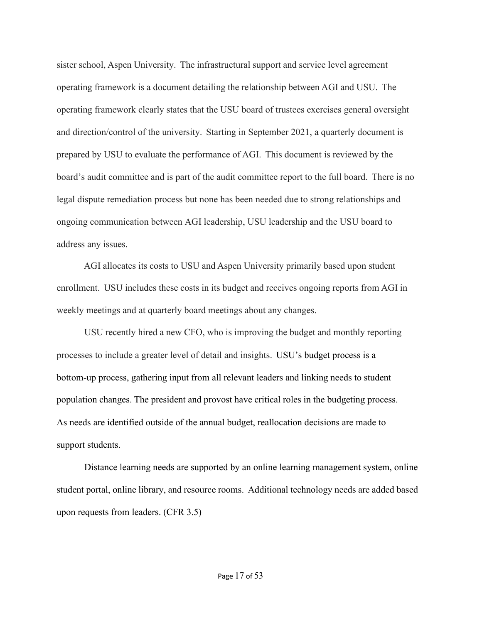sister school, Aspen University. The infrastructural support and service level agreement operating framework is a document detailing the relationship between AGI and USU. The operating framework clearly states that the USU board of trustees exercises general oversight and direction/control of the university. Starting in September 2021, a quarterly document is prepared by USU to evaluate the performance of AGI. This document is reviewed by the board's audit committee and is part of the audit committee report to the full board. There is no legal dispute remediation process but none has been needed due to strong relationships and ongoing communication between AGI leadership, USU leadership and the USU board to address any issues.

AGI allocates its costs to USU and Aspen University primarily based upon student enrollment. USU includes these costs in its budget and receives ongoing reports from AGI in weekly meetings and at quarterly board meetings about any changes.

USU recently hired a new CFO, who is improving the budget and monthly reporting processes to include a greater level of detail and insights. USU's budget process is a bottom-up process, gathering input from all relevant leaders and linking needs to student population changes. The president and provost have critical roles in the budgeting process. As needs are identified outside of the annual budget, reallocation decisions are made to support students.

Distance learning needs are supported by an online learning management system, online student portal, online library, and resource rooms. Additional technology needs are added based upon requests from leaders. (CFR 3.5)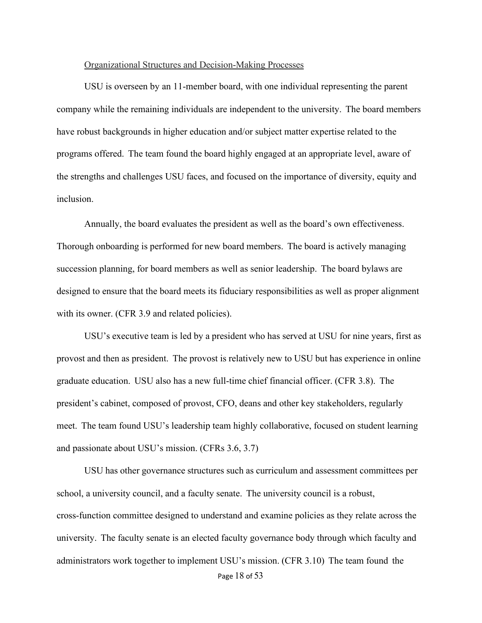## Organizational Structures and Decision-Making Processes

USU is overseen by an 11-member board, with one individual representing the parent company while the remaining individuals are independent to the university. The board members have robust backgrounds in higher education and/or subject matter expertise related to the programs offered. The team found the board highly engaged at an appropriate level, aware of the strengths and challenges USU faces, and focused on the importance of diversity, equity and inclusion.

Annually, the board evaluates the president as well as the board's own effectiveness. Thorough onboarding is performed for new board members. The board is actively managing succession planning, for board members as well as senior leadership. The board bylaws are designed to ensure that the board meets its fiduciary responsibilities as well as proper alignment with its owner. (CFR 3.9 and related policies).

USU's executive team is led by a president who has served at USU for nine years, first as provost and then as president. The provost is relatively new to USU but has experience in online graduate education. USU also has a new full-time chief financial officer. (CFR 3.8). The president's cabinet, composed of provost, CFO, deans and other key stakeholders, regularly meet. The team found USU's leadership team highly collaborative, focused on student learning and passionate about USU's mission. (CFRs 3.6, 3.7)

USU has other governance structures such as curriculum and assessment committees per school, a university council, and a faculty senate. The university council is a robust, cross-function committee designed to understand and examine policies as they relate across the university. The faculty senate is an elected faculty governance body through which faculty and administrators work together to implement USU's mission. (CFR 3.10) The team found the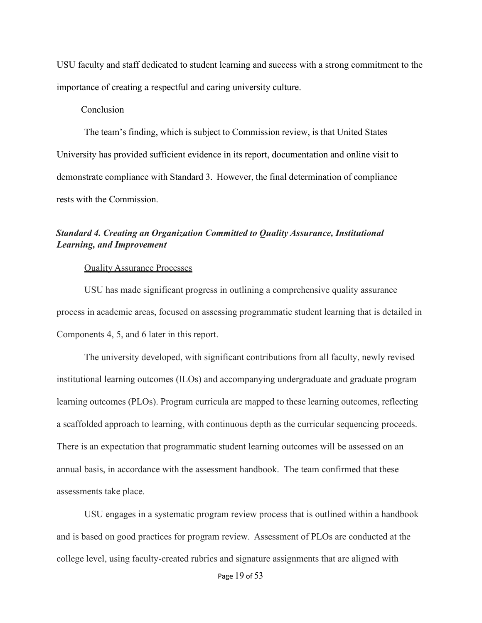USU faculty and staff dedicated to student learning and success with a strong commitment to the importance of creating a respectful and caring university culture.

## Conclusion

The team's finding, which is subject to Commission review, is that United States University has provided sufficient evidence in its report, documentation and online visit to demonstrate compliance with Standard 3. However, the final determination of compliance rests with the Commission.

# *Standard 4. Creating an Organization Committed to Quality Assurance, Institutional Learning, and Improvement*

## Quality Assurance Processes

USU has made significant progress in outlining a comprehensive quality assurance process in academic areas, focused on assessing programmatic student learning that is detailed in Components 4, 5, and 6 later in this report.

The university developed, with significant contributions from all faculty, newly revised institutional learning outcomes (ILOs) and accompanying undergraduate and graduate program learning outcomes (PLOs). Program curricula are mapped to these learning outcomes, reflecting a scaffolded approach to learning, with continuous depth as the curricular sequencing proceeds. There is an expectation that programmatic student learning outcomes will be assessed on an annual basis, in accordance with the assessment handbook. The team confirmed that these assessments take place.

USU engages in a systematic program review process that is outlined within a handbook and is based on good practices for program review. Assessment of PLOs are conducted at the college level, using faculty-created rubrics and signature assignments that are aligned with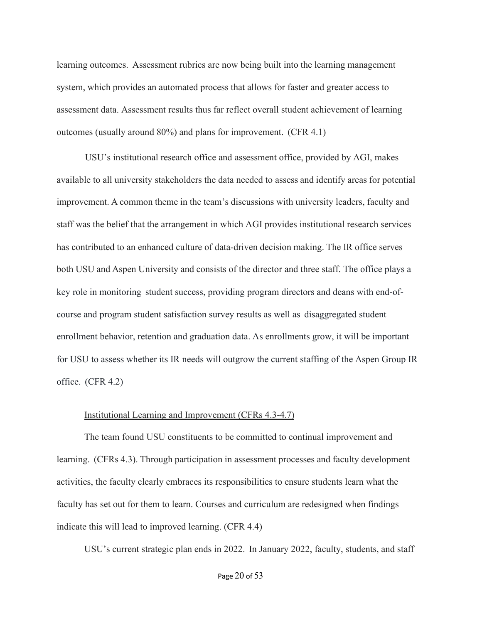learning outcomes. Assessment rubrics are now being built into the learning management system, which provides an automated process that allows for faster and greater access to assessment data. Assessment results thus far reflect overall student achievement of learning outcomes (usually around 80%) and plans for improvement. (CFR 4.1)

USU's institutional research office and assessment office, provided by AGI, makes available to all university stakeholders the data needed to assess and identify areas for potential improvement. A common theme in the team's discussions with university leaders, faculty and staff was the belief that the arrangement in which AGI provides institutional research services has contributed to an enhanced culture of data-driven decision making. The IR office serves both USU and Aspen University and consists of the director and three staff. The office plays a key role in monitoring student success, providing program directors and deans with end-ofcourse and program student satisfaction survey results as well as disaggregated student enrollment behavior, retention and graduation data. As enrollments grow, it will be important for USU to assess whether its IR needs will outgrow the current staffing of the Aspen Group IR office. (CFR 4.2)

#### Institutional Learning and Improvement (CFRs 4.3-4.7)

The team found USU constituents to be committed to continual improvement and learning. (CFRs 4.3). Through participation in assessment processes and faculty development activities, the faculty clearly embraces its responsibilities to ensure students learn what the faculty has set out for them to learn. Courses and curriculum are redesigned when findings indicate this will lead to improved learning. (CFR 4.4)

USU's current strategic plan ends in 2022. In January 2022, faculty, students, and staff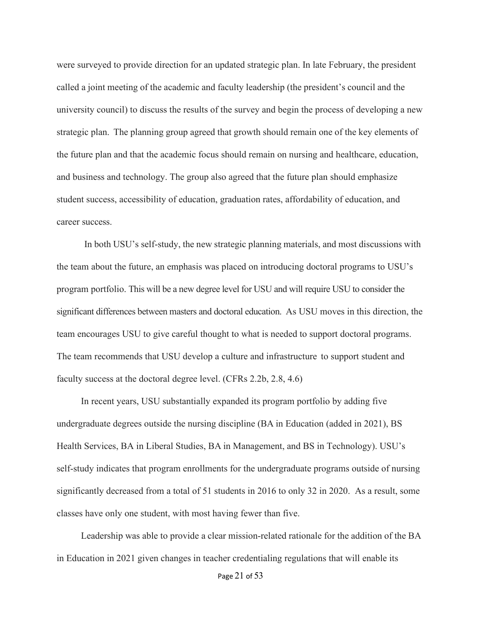were surveyed to provide direction for an updated strategic plan. In late February, the president called a joint meeting of the academic and faculty leadership (the president's council and the university council) to discuss the results of the survey and begin the process of developing a new strategic plan. The planning group agreed that growth should remain one of the key elements of the future plan and that the academic focus should remain on nursing and healthcare, education, and business and technology. The group also agreed that the future plan should emphasize student success, accessibility of education, graduation rates, affordability of education, and career success.

In both USU's self-study, the new strategic planning materials, and most discussions with the team about the future, an emphasis was placed on introducing doctoral programs to USU's program portfolio. This will be a new degree level for USU and will require USU to consider the significant differences between masters and doctoral education. As USU moves in this direction, the team encourages USU to give careful thought to what is needed to support doctoral programs. The team recommends that USU develop a culture and infrastructure to support student and faculty success at the doctoral degree level. (CFRs 2.2b, 2.8, 4.6)

In recent years, USU substantially expanded its program portfolio by adding five undergraduate degrees outside the nursing discipline (BA in Education (added in 2021), BS Health Services, BA in Liberal Studies, BA in Management, and BS in Technology). USU's self-study indicates that program enrollments for the undergraduate programs outside of nursing significantly decreased from a total of 51 students in 2016 to only 32 in 2020. As a result, some classes have only one student, with most having fewer than five.

Leadership was able to provide a clear mission-related rationale for the addition of the BA in Education in 2021 given changes in teacher credentialing regulations that will enable its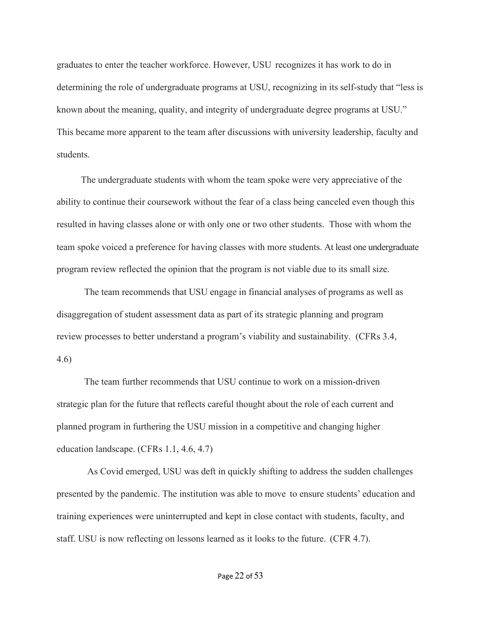graduates to enter the teacher workforce. However, USU recognizes it has work to do in determining the role of undergraduate programs at USU, recognizing in its self-study that "less is known about the meaning, quality, and integrity of undergraduate degree programs at USU." This became more apparent to the team after discussions with university leadership, faculty and students.

The undergraduate students with whom the team spoke were very appreciative of the ability to continue their coursework without the fear of a class being canceled even though this resulted in having classes alone or with only one or two other students. Those with whom the team spoke voiced a preference for having classes with more students. At least one undergraduate program review reflected the opinion that the program is not viable due to its small size.

The team recommends that USU engage in financial analyses of programs as well as disaggregation of student assessment data as part of its strategic planning and program review processes to better understand a program's viability and sustainability. (CFRs 3.4, 4.6)

The team further recommends that USU continue to work on a mission-driven strategic plan for the future that reflects careful thought about the role of each current and planned program in furthering the USU mission in a competitive and changing higher education landscape. (CFRs 1.1, 4.6, 4.7)

As Covid emerged, USU was deft in quickly shifting to address the sudden challenges presented by the pandemic. The institution was able to move to ensure students' education and training experiences were uninterrupted and kept in close contact with students, faculty, and staff. USU is now reflecting on lessons learned as it looks to the future. (CFR 4.7).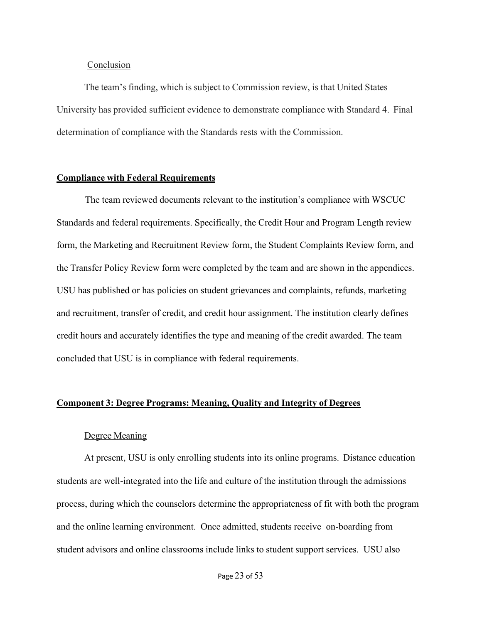## **Conclusion**

The team's finding, which is subject to Commission review, is that United States University has provided sufficient evidence to demonstrate compliance with Standard 4. Final determination of compliance with the Standards rests with the Commission.

# **Compliance with Federal Requirements**

The team reviewed documents relevant to the institution's compliance with WSCUC Standards and federal requirements. Specifically, the Credit Hour and Program Length review form, the Marketing and Recruitment Review form, the Student Complaints Review form, and the Transfer Policy Review form were completed by the team and are shown in the appendices. USU has published or has policies on student grievances and complaints, refunds, marketing and recruitment, transfer of credit, and credit hour assignment. The institution clearly defines credit hours and accurately identifies the type and meaning of the credit awarded. The team concluded that USU is in compliance with federal requirements.

## **Component 3: Degree Programs: Meaning, Quality and Integrity of Degrees**

#### Degree Meaning

At present, USU is only enrolling students into its online programs. Distance education students are well-integrated into the life and culture of the institution through the admissions process, during which the counselors determine the appropriateness of fit with both the program and the online learning environment. Once admitted, students receive on-boarding from student advisors and online classrooms include links to student support services. USU also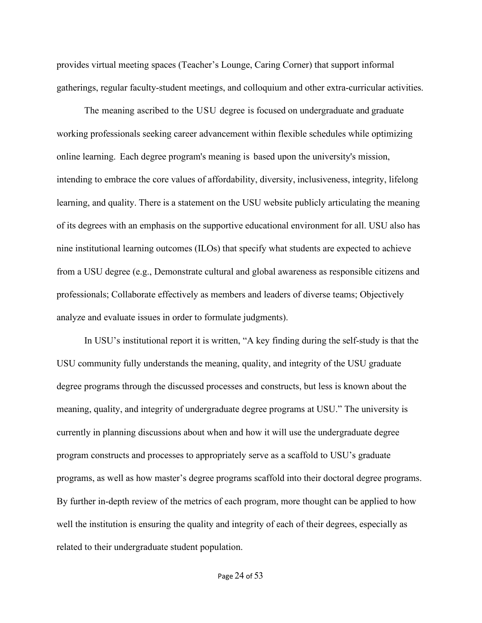provides virtual meeting spaces (Teacher's Lounge, Caring Corner) that support informal gatherings, regular faculty-student meetings, and colloquium and other extra-curricular activities.

The meaning ascribed to the USU degree is focused on undergraduate and graduate working professionals seeking career advancement within flexible schedules while optimizing online learning. Each degree program's meaning is based upon the university's mission, intending to embrace the core values of affordability, diversity, inclusiveness, integrity, lifelong learning, and quality. There is a statement on the USU website publicly articulating the meaning of its degrees with an emphasis on the supportive educational environment for all. USU also has nine institutional learning outcomes (ILOs) that specify what students are expected to achieve from a USU degree (e.g., Demonstrate cultural and global awareness as responsible citizens and professionals; Collaborate effectively as members and leaders of diverse teams; Objectively analyze and evaluate issues in order to formulate judgments).

In USU's institutional report it is written, "A key finding during the self-study is that the USU community fully understands the meaning, quality, and integrity of the USU graduate degree programs through the discussed processes and constructs, but less is known about the meaning, quality, and integrity of undergraduate degree programs at USU." The university is currently in planning discussions about when and how it will use the undergraduate degree program constructs and processes to appropriately serve as a scaffold to USU's graduate programs, as well as how master's degree programs scaffold into their doctoral degree programs. By further in-depth review of the metrics of each program, more thought can be applied to how well the institution is ensuring the quality and integrity of each of their degrees, especially as related to their undergraduate student population.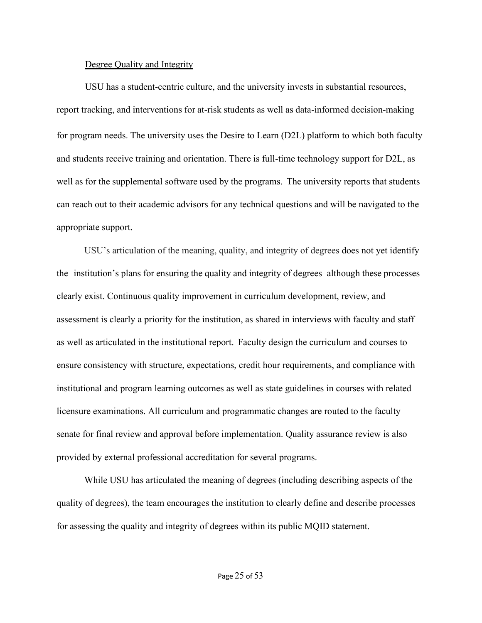#### Degree Quality and Integrity

USU has a student-centric culture, and the university invests in substantial resources, report tracking, and interventions for at-risk students as well as data-informed decision-making for program needs. The university uses the Desire to Learn (D2L) platform to which both faculty and students receive training and orientation. There is full-time technology support for D2L, as well as for the supplemental software used by the programs. The university reports that students can reach out to their academic advisors for any technical questions and will be navigated to the appropriate support.

USU's articulation of the meaning, quality, and integrity of degrees does not yet identify the institution's plans for ensuring the quality and integrity of degrees–although these processes clearly exist. Continuous quality improvement in curriculum development, review, and assessment is clearly a priority for the institution, as shared in interviews with faculty and staff as well as articulated in the institutional report. Faculty design the curriculum and courses to ensure consistency with structure, expectations, credit hour requirements, and compliance with institutional and program learning outcomes as well as state guidelines in courses with related licensure examinations. All curriculum and programmatic changes are routed to the faculty senate for final review and approval before implementation. Quality assurance review is also provided by external professional accreditation for several programs.

While USU has articulated the meaning of degrees (including describing aspects of the quality of degrees), the team encourages the institution to clearly define and describe processes for assessing the quality and integrity of degrees within its public MQID statement.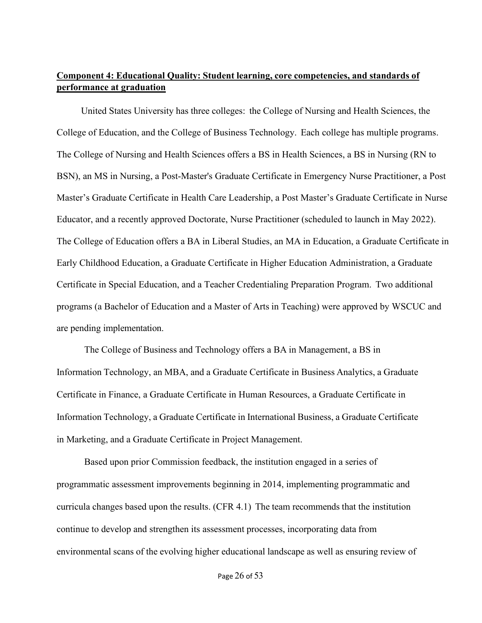# <span id="page-25-0"></span>**Component 4: Educational Quality: Student learning, core competencies, and standards of performance at graduation**

United States University has three colleges: the College of Nursing and Health Sciences, the College of Education, and the College of Business Technology. Each college has multiple programs. The College of Nursing and Health Sciences offers a BS in Health Sciences, a BS in Nursing (RN to BSN), an MS in Nursing, a Post-Master's Graduate Certificate in Emergency Nurse Practitioner, a Post Master's Graduate Certificate in Health Care Leadership, a Post Master's Graduate Certificate in Nurse Educator, and a recently approved Doctorate, Nurse Practitioner (scheduled to launch in May 2022). The College of Education offers a BA in Liberal Studies, an MA in Education, a Graduate Certificate in Early Childhood Education, a Graduate Certificate in Higher Education Administration, a Graduate Certificate in Special Education, and a Teacher Credentialing Preparation Program. Two additional programs (a Bachelor of Education and a Master of Arts in Teaching) were approved by WSCUC and are pending implementation.

The College of Business and Technology offers a BA in Management, a BS in Information Technology, an MBA, and a Graduate Certificate in Business Analytics, a Graduate Certificate in Finance, a Graduate Certificate in Human Resources, a Graduate Certificate in Information Technology, a Graduate Certificate in International Business, a Graduate Certificate in Marketing, and a Graduate Certificate in Project Management.

Based upon prior Commission feedback, the institution engaged in a series of programmatic assessment improvements beginning in 2014, implementing programmatic and curricula changes based upon the results. (CFR 4.1) The team recommends that the institution continue to develop and strengthen its assessment processes, incorporating data from environmental scans of the evolving higher educational landscape as well as ensuring review of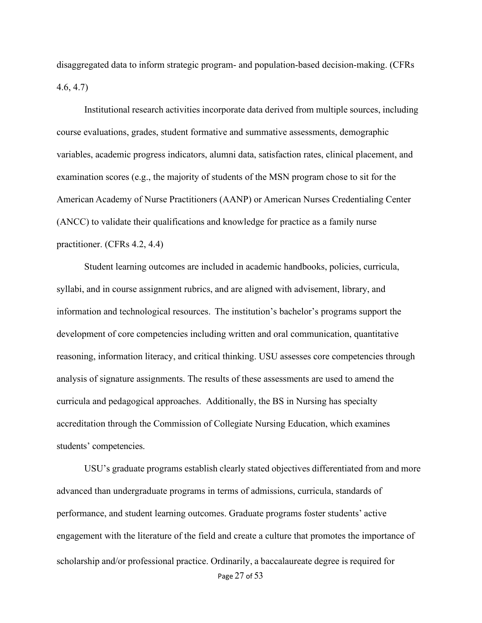disaggregated data to inform strategic program- and population-based decision-making. (CFRs 4.6, 4.7)

Institutional research activities incorporate data derived from multiple sources, including course evaluations, grades, student formative and summative assessments, demographic variables, academic progress indicators, alumni data, satisfaction rates, clinical placement, and examination scores (e.g., the majority of students of the MSN program chose to sit for the American Academy of Nurse Practitioners (AANP) or American Nurses Credentialing Center (ANCC) to validate their qualifications and knowledge for practice as a family nurse practitioner. (CFRs 4.2, 4.4)

Student learning outcomes are included in academic handbooks, policies, curricula, syllabi, and in course assignment rubrics, and are aligned with advisement, library, and information and technological resources. The institution's bachelor's programs support the development of core competencies including written and oral communication, quantitative reasoning, information literacy, and critical thinking. USU assesses core competencies through analysis of signature assignments. The results of these assessments are used to amend the curricula and pedagogical approaches. Additionally, the BS in Nursing has specialty accreditation through the Commission of Collegiate Nursing Education, which examines students' competencies.

Page 27 of 53 USU's graduate programs establish clearly stated objectives differentiated from and more advanced than undergraduate programs in terms of admissions, curricula, standards of performance, and student learning outcomes. Graduate programs foster students' active engagement with the literature of the field and create a culture that promotes the importance of scholarship and/or professional practice. Ordinarily, a baccalaureate degree is required for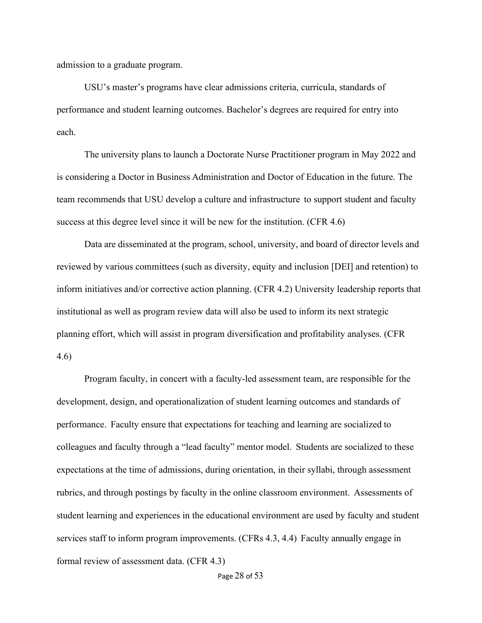admission to a graduate program.

USU's master's programs have clear admissions criteria, curricula, standards of performance and student learning outcomes. Bachelor's degrees are required for entry into each.

The university plans to launch a Doctorate Nurse Practitioner program in May 2022 and is considering a Doctor in Business Administration and Doctor of Education in the future. The team recommends that USU develop a culture and infrastructure to support student and faculty success at this degree level since it will be new for the institution. (CFR 4.6)

Data are disseminated at the program, school, university, and board of director levels and reviewed by various committees (such as diversity, equity and inclusion [DEI] and retention) to inform initiatives and/or corrective action planning. (CFR 4.2) University leadership reports that institutional as well as program review data will also be used to inform its next strategic planning effort, which will assist in program diversification and profitability analyses. (CFR 4.6)

Program faculty, in concert with a faculty-led assessment team, are responsible for the development, design, and operationalization of student learning outcomes and standards of performance. Faculty ensure that expectations for teaching and learning are socialized to colleagues and faculty through a "lead faculty" mentor model. Students are socialized to these expectations at the time of admissions, during orientation, in their syllabi, through assessment rubrics, and through postings by faculty in the online classroom environment. Assessments of student learning and experiences in the educational environment are used by faculty and student services staff to inform program improvements. (CFRs 4.3, 4.4) Faculty annually engage in formal review of assessment data. (CFR 4.3)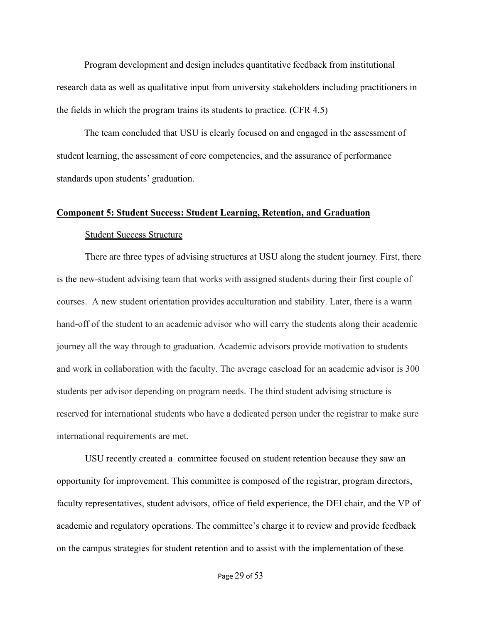Program development and design includes quantitative feedback from institutional research data as well as qualitative input from university stakeholders including practitioners in the fields in which the program trains its students to practice. (CFR 4.5)

The team concluded that USU is clearly focused on and engaged in the assessment of student learning, the assessment of core competencies, and the assurance of performance standards upon students' graduation.

## <span id="page-28-0"></span>**Component 5: Student Success: Student Learning, Retention, and Graduation**

#### Student Success Structure

There are three types of advising structures at USU along the student journey. First, there is the new-student advising team that works with assigned students during their first couple of courses. A new student orientation provides acculturation and stability. Later, there is a warm hand-off of the student to an academic advisor who will carry the students along their academic journey all the way through to graduation. Academic advisors provide motivation to students and work in collaboration with the faculty. The average caseload for an academic advisor is 300 students per advisor depending on program needs. The third student advising structure is reserved for international students who have a dedicated person under the registrar to make sure international requirements are met.

USU recently created a committee focused on student retention because they saw an opportunity for improvement. This committee is composed of the registrar, program directors, faculty representatives, student advisors, office of field experience, the DEI chair, and the VP of academic and regulatory operations. The committee's charge it to review and provide feedback on the campus strategies for student retention and to assist with the implementation of these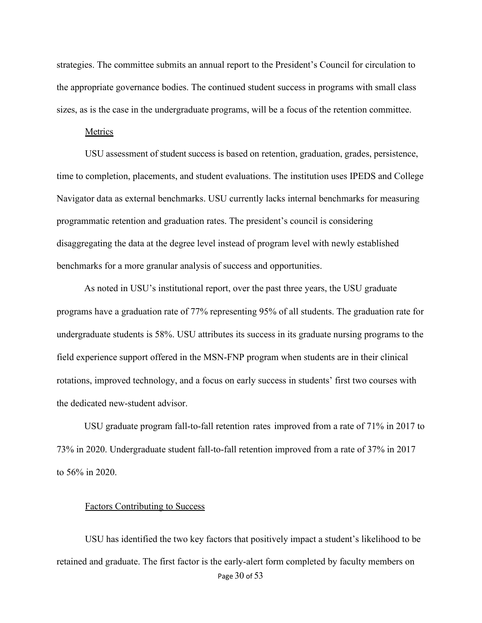strategies. The committee submits an annual report to the President's Council for circulation to the appropriate governance bodies. The continued student success in programs with small class sizes, as is the case in the undergraduate programs, will be a focus of the retention committee.

#### **Metrics**

USU assessment of student success is based on retention, graduation, grades, persistence, time to completion, placements, and student evaluations. The institution uses IPEDS and College Navigator data as external benchmarks. USU currently lacks internal benchmarks for measuring programmatic retention and graduation rates. The president's council is considering disaggregating the data at the degree level instead of program level with newly established benchmarks for a more granular analysis of success and opportunities.

As noted in USU's institutional report, over the past three years, the USU graduate programs have a graduation rate of 77% representing 95% of all students. The graduation rate for undergraduate students is 58%. USU attributes its success in its graduate nursing programs to the field experience support offered in the MSN-FNP program when students are in their clinical rotations, improved technology, and a focus on early success in students' first two courses with the dedicated new-student advisor.

USU graduate program fall-to-fall retention rates improved from a rate of 71% in 2017 to 73% in 2020. Undergraduate student fall-to-fall retention improved from a rate of 37% in 2017 to 56% in 2020.

#### Factors Contributing to Success

Page 30 of 53 USU has identified the two key factors that positively impact a student's likelihood to be retained and graduate. The first factor is the early-alert form completed by faculty members on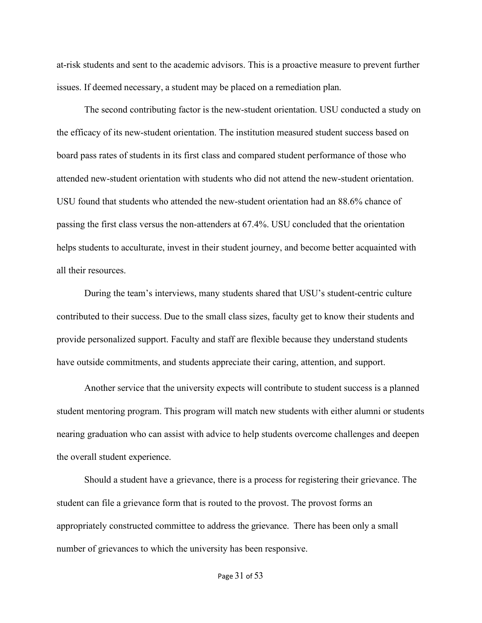at-risk students and sent to the academic advisors. This is a proactive measure to prevent further issues. If deemed necessary, a student may be placed on a remediation plan.

The second contributing factor is the new-student orientation. USU conducted a study on the efficacy of its new-student orientation. The institution measured student success based on board pass rates of students in its first class and compared student performance of those who attended new-student orientation with students who did not attend the new-student orientation. USU found that students who attended the new-student orientation had an 88.6% chance of passing the first class versus the non-attenders at 67.4%. USU concluded that the orientation helps students to acculturate, invest in their student journey, and become better acquainted with all their resources.

During the team's interviews, many students shared that USU's student-centric culture contributed to their success. Due to the small class sizes, faculty get to know their students and provide personalized support. Faculty and staff are flexible because they understand students have outside commitments, and students appreciate their caring, attention, and support.

Another service that the university expects will contribute to student success is a planned student mentoring program. This program will match new students with either alumni or students nearing graduation who can assist with advice to help students overcome challenges and deepen the overall student experience.

Should a student have a grievance, there is a process for registering their grievance. The student can file a grievance form that is routed to the provost. The provost forms an appropriately constructed committee to address the grievance. There has been only a small number of grievances to which the university has been responsive.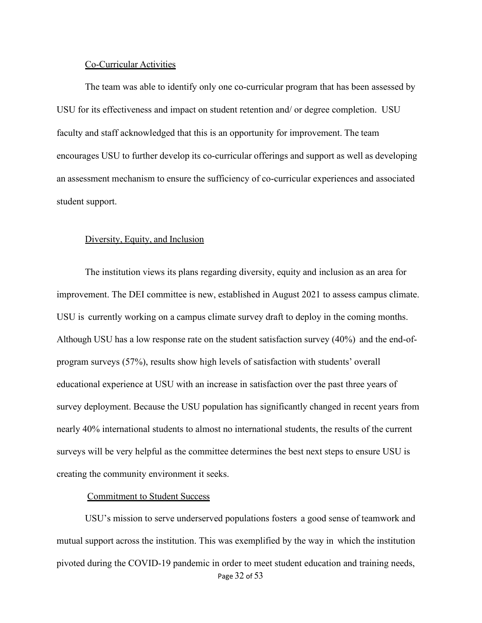#### Co-Curricular Activities

The team was able to identify only one co-curricular program that has been assessed by USU for its effectiveness and impact on student retention and/ or degree completion. USU faculty and staff acknowledged that this is an opportunity for improvement. The team encourages USU to further develop its co-curricular offerings and support as well as developing an assessment mechanism to ensure the sufficiency of co-curricular experiences and associated student support.

# Diversity, Equity, and Inclusion

The institution views its plans regarding diversity, equity and inclusion as an area for improvement. The DEI committee is new, established in August 2021 to assess campus climate. USU is currently working on a campus climate survey draft to deploy in the coming months. Although USU has a low response rate on the student satisfaction survey (40%) and the end-ofprogram surveys (57%), results show high levels of satisfaction with students' overall educational experience at USU with an increase in satisfaction over the past three years of survey deployment. Because the USU population has significantly changed in recent years from nearly 40% international students to almost no international students, the results of the current surveys will be very helpful as the committee determines the best next steps to ensure USU is creating the community environment it seeks.

#### Commitment to Student Success

Page 32 of 53 USU's mission to serve underserved populations fosters a good sense of teamwork and mutual support across the institution. This was exemplified by the way in which the institution pivoted during the COVID-19 pandemic in order to meet student education and training needs,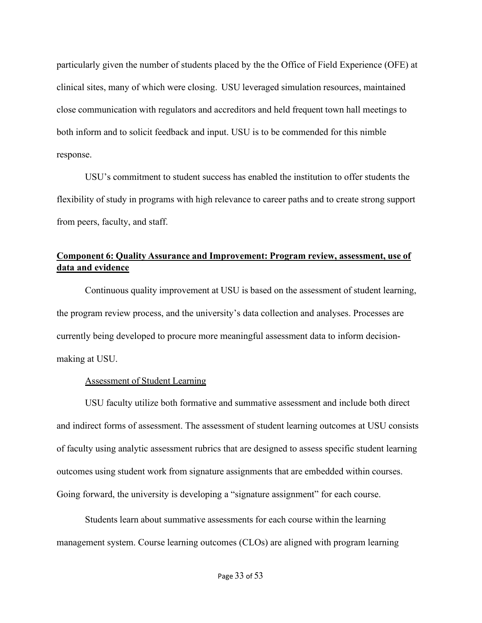particularly given the number of students placed by the the Office of Field Experience (OFE) at clinical sites, many of which were closing. USU leveraged simulation resources, maintained close communication with regulators and accreditors and held frequent town hall meetings to both inform and to solicit feedback and input. USU is to be commended for this nimble response.

USU's commitment to student success has enabled the institution to offer students the flexibility of study in programs with high relevance to career paths and to create strong support from peers, faculty, and staff.

# <span id="page-32-0"></span>**Component 6: Quality Assurance and Improvement: Program review, assessment, use of data and evidence**

Continuous quality improvement at USU is based on the assessment of student learning, the program review process, and the university's data collection and analyses. Processes are currently being developed to procure more meaningful assessment data to inform decisionmaking at USU.

# Assessment of Student Learning

USU faculty utilize both formative and summative assessment and include both direct and indirect forms of assessment. The assessment of student learning outcomes at USU consists of faculty using analytic assessment rubrics that are designed to assess specific student learning outcomes using student work from signature assignments that are embedded within courses. Going forward, the university is developing a "signature assignment" for each course.

Students learn about summative assessments for each course within the learning management system. Course learning outcomes (CLOs) are aligned with program learning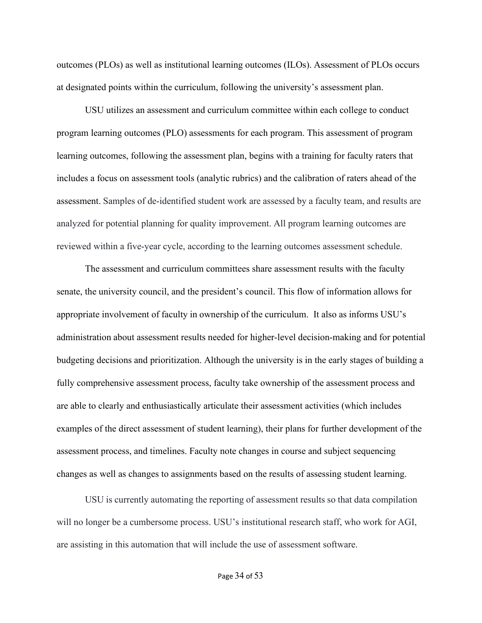outcomes (PLOs) as well as institutional learning outcomes (ILOs). Assessment of PLOs occurs at designated points within the curriculum, following the university's assessment plan.

USU utilizes an assessment and curriculum committee within each college to conduct program learning outcomes (PLO) assessments for each program. This assessment of program learning outcomes, following the assessment plan, begins with a training for faculty raters that includes a focus on assessment tools (analytic rubrics) and the calibration of raters ahead of the assessment. Samples of de-identified student work are assessed by a faculty team, and results are analyzed for potential planning for quality improvement. All program learning outcomes are reviewed within a five-year cycle, according to the learning outcomes assessment schedule.

The assessment and curriculum committees share assessment results with the faculty senate, the university council, and the president's council. This flow of information allows for appropriate involvement of faculty in ownership of the curriculum. It also as informs USU's administration about assessment results needed for higher-level decision-making and for potential budgeting decisions and prioritization. Although the university is in the early stages of building a fully comprehensive assessment process, faculty take ownership of the assessment process and are able to clearly and enthusiastically articulate their assessment activities (which includes examples of the direct assessment of student learning), their plans for further development of the assessment process, and timelines. Faculty note changes in course and subject sequencing changes as well as changes to assignments based on the results of assessing student learning.

USU is currently automating the reporting of assessment results so that data compilation will no longer be a cumbersome process. USU's institutional research staff, who work for AGI, are assisting in this automation that will include the use of assessment software.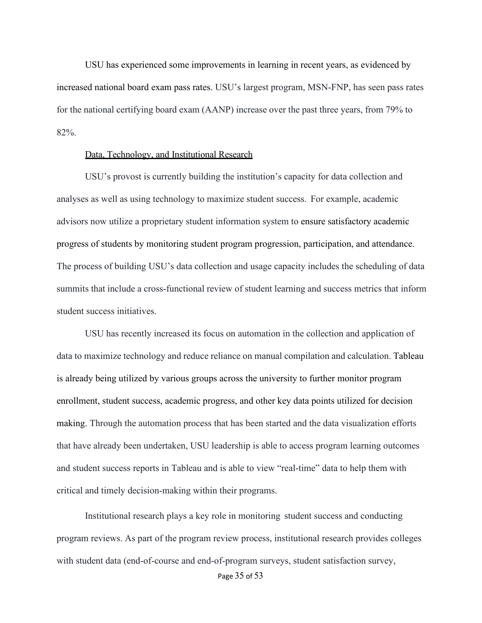USU has experienced some improvements in learning in recent years, as evidenced by increased national board exam pass rates. USU's largest program, MSN-FNP, has seen pass rates for the national certifying board exam (AANP) increase over the past three years, from 79% to 82%.

#### Data, Technology, and Institutional Research

USU's provost is currently building the institution's capacity for data collection and analyses as well as using technology to maximize student success. For example, academic advisors now utilize a proprietary student information system to ensure satisfactory academic progress of students by monitoring student program progression, participation, and attendance. The process of building USU's data collection and usage capacity includes the scheduling of data summits that include a cross-functional review of student learning and success metrics that inform student success initiatives.

USU has recently increased its focus on automation in the collection and application of data to maximize technology and reduce reliance on manual compilation and calculation. Tableau is already being utilized by various groups across the university to further monitor program enrollment, student success, academic progress, and other key data points utilized for decision making. Through the automation process that has been started and the data visualization efforts that have already been undertaken, USU leadership is able to access program learning outcomes and student success reports in Tableau and is able to view "real-time" data to help them with critical and timely decision-making within their programs.

Institutional research plays a key role in monitoring student success and conducting program reviews. As part of the program review process, institutional research provides colleges with student data (end-of-course and end-of-program surveys, student satisfaction survey,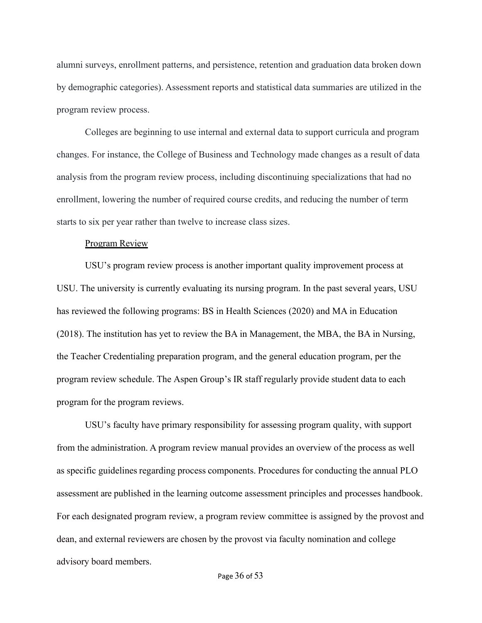alumni surveys, enrollment patterns, and persistence, retention and graduation data broken down by demographic categories). Assessment reports and statistical data summaries are utilized in the program review process.

Colleges are beginning to use internal and external data to support curricula and program changes. For instance, the College of Business and Technology made changes as a result of data analysis from the program review process, including discontinuing specializations that had no enrollment, lowering the number of required course credits, and reducing the number of term starts to six per year rather than twelve to increase class sizes.

#### Program Review

USU's program review process is another important quality improvement process at USU. The university is currently evaluating its nursing program. In the past several years, USU has reviewed the following programs: BS in Health Sciences (2020) and MA in Education (2018). The institution has yet to review the BA in Management, the MBA, the BA in Nursing, the Teacher Credentialing preparation program, and the general education program, per the program review schedule. The Aspen Group's IR staff regularly provide student data to each program for the program reviews.

USU's faculty have primary responsibility for assessing program quality, with support from the administration. A program review manual provides an overview of the process as well as specific guidelines regarding process components. Procedures for conducting the annual PLO assessment are published in the learning outcome assessment principles and processes handbook. For each designated program review, a program review committee is assigned by the provost and dean, and external reviewers are chosen by the provost via faculty nomination and college advisory board members.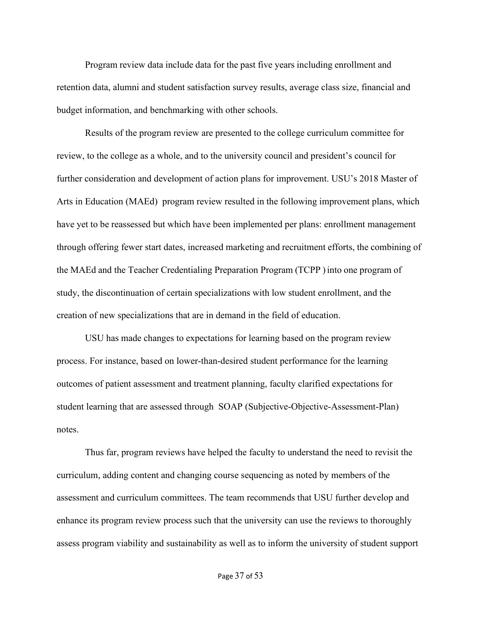Program review data include data for the past five years including enrollment and retention data, alumni and student satisfaction survey results, average class size, financial and budget information, and benchmarking with other schools.

Results of the program review are presented to the college curriculum committee for review, to the college as a whole, and to the university council and president's council for further consideration and development of action plans for improvement. USU's 2018 Master of Arts in Education (MAEd) program review resulted in the following improvement plans, which have yet to be reassessed but which have been implemented per plans: enrollment management through offering fewer start dates, increased marketing and recruitment efforts, the combining of the MAEd and the Teacher Credentialing Preparation Program (TCPP ) into one program of study, the discontinuation of certain specializations with low student enrollment, and the creation of new specializations that are in demand in the field of education.

USU has made changes to expectations for learning based on the program review process. For instance, based on lower-than-desired student performance for the learning outcomes of patient assessment and treatment planning, faculty clarified expectations for student learning that are assessed through SOAP (Subjective-Objective-Assessment-Plan) notes.

Thus far, program reviews have helped the faculty to understand the need to revisit the curriculum, adding content and changing course sequencing as noted by members of the assessment and curriculum committees. The team recommends that USU further develop and enhance its program review process such that the university can use the reviews to thoroughly assess program viability and sustainability as well as to inform the university of student support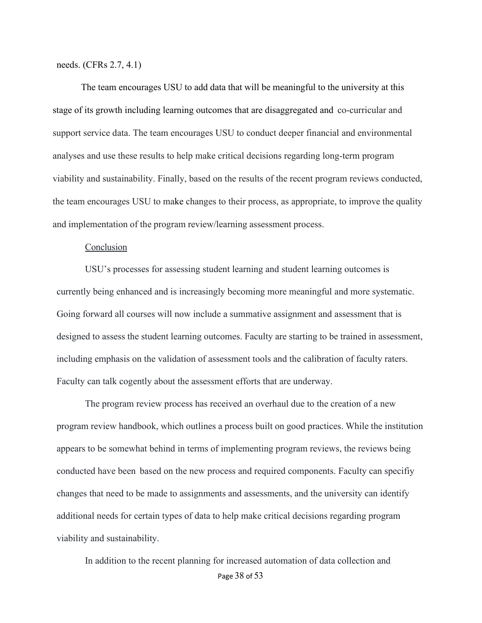needs. (CFRs 2.7, 4.1)

The team encourages USU to add data that will be meaningful to the university at this stage of its growth including learning outcomes that are disaggregated and co-curricular and support service data. The team encourages USU to conduct deeper financial and environmental analyses and use these results to help make critical decisions regarding long-term program viability and sustainability. Finally, based on the results of the recent program reviews conducted, the team encourages USU to make changes to their process, as appropriate, to improve the quality and implementation of the program review/learning assessment process.

#### Conclusion

USU's processes for assessing student learning and student learning outcomes is currently being enhanced and is increasingly becoming more meaningful and more systematic. Going forward all courses will now include a summative assignment and assessment that is designed to assess the student learning outcomes. Faculty are starting to be trained in assessment, including emphasis on the validation of assessment tools and the calibration of faculty raters. Faculty can talk cogently about the assessment efforts that are underway.

The program review process has received an overhaul due to the creation of a new program review handbook, which outlines a process built on good practices. While the institution appears to be somewhat behind in terms of implementing program reviews, the reviews being conducted have been based on the new process and required components. Faculty can specifiy changes that need to be made to assignments and assessments, and the university can identify additional needs for certain types of data to help make critical decisions regarding program viability and sustainability.

Page 38 of 53 In addition to the recent planning for increased automation of data collection and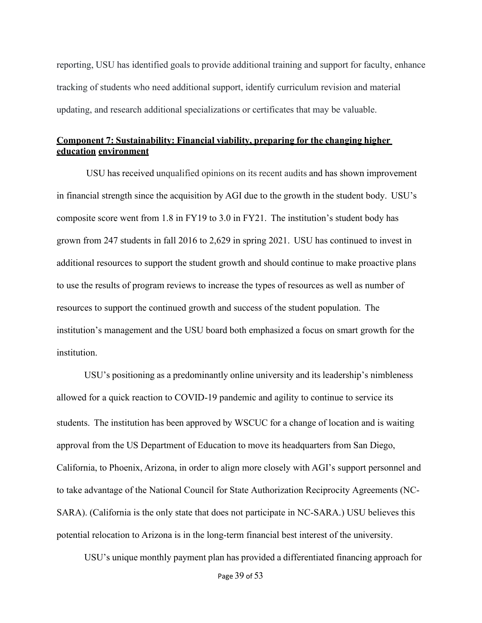reporting, USU has identified goals to provide additional training and support for faculty, enhance tracking of students who need additional support, identify curriculum revision and material updating, and research additional specializations or certificates that may be valuable.

# **Component 7: Sustainability: Financial viability, preparing for the changing higher education environment**

USU has received unqualified opinions on its recent audits and has shown improvement in financial strength since the acquisition by AGI due to the growth in the student body. USU's composite score went from 1.8 in FY19 to 3.0 in FY21. The institution's student body has grown from 247 students in fall 2016 to 2,629 in spring 2021. USU has continued to invest in additional resources to support the student growth and should continue to make proactive plans to use the results of program reviews to increase the types of resources as well as number of resources to support the continued growth and success of the student population. The institution's management and the USU board both emphasized a focus on smart growth for the institution.

USU's positioning as a predominantly online university and its leadership's nimbleness allowed for a quick reaction to COVID-19 pandemic and agility to continue to service its students. The institution has been approved by WSCUC for a change of location and is waiting approval from the US Department of Education to move its headquarters from San Diego, California, to Phoenix, Arizona, in order to align more closely with AGI's support personnel and to take advantage of the National Council for State Authorization Reciprocity Agreements (NC-SARA). (California is the only state that does not participate in NC-SARA.) USU believes this potential relocation to Arizona is in the long-term financial best interest of the university.

USU's unique monthly payment plan has provided a differentiated financing approach for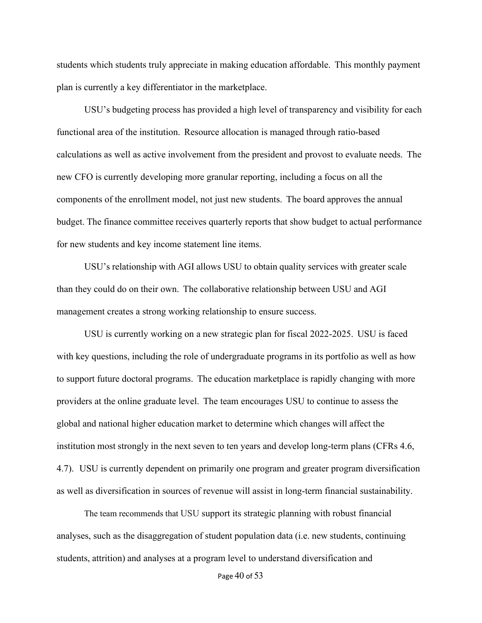students which students truly appreciate in making education affordable. This monthly payment plan is currently a key differentiator in the marketplace.

USU's budgeting process has provided a high level of transparency and visibility for each functional area of the institution. Resource allocation is managed through ratio-based calculations as well as active involvement from the president and provost to evaluate needs. The new CFO is currently developing more granular reporting, including a focus on all the components of the enrollment model, not just new students. The board approves the annual budget. The finance committee receives quarterly reports that show budget to actual performance for new students and key income statement line items.

USU's relationship with AGI allows USU to obtain quality services with greater scale than they could do on their own. The collaborative relationship between USU and AGI management creates a strong working relationship to ensure success.

USU is currently working on a new strategic plan for fiscal 2022-2025. USU is faced with key questions, including the role of undergraduate programs in its portfolio as well as how to support future doctoral programs. The education marketplace is rapidly changing with more providers at the online graduate level. The team encourages USU to continue to assess the global and national higher education market to determine which changes will affect the institution most strongly in the next seven to ten years and develop long-term plans (CFRs 4.6, 4.7). USU is currently dependent on primarily one program and greater program diversification as well as diversification in sources of revenue will assist in long-term financial sustainability.

The team recommends that USU support its strategic planning with robust financial analyses, such as the disaggregation of student population data (i.e. new students, continuing students, attrition) and analyses at a program level to understand diversification and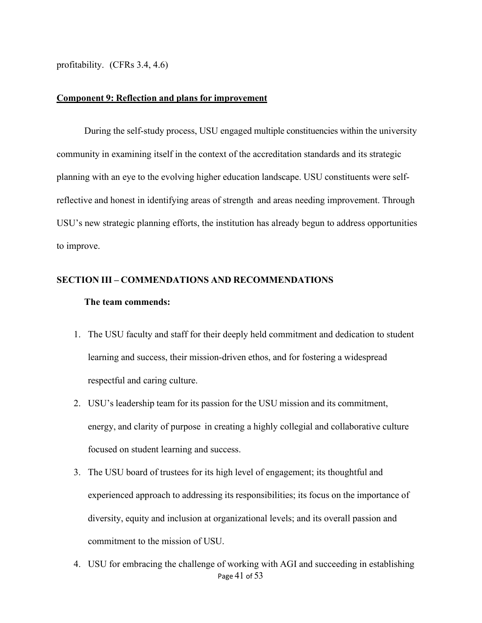profitability. (CFRs 3.4, 4.6)

#### **Component 9: Reflection and plans for improvement**

During the self-study process, USU engaged multiple constituencies within the university community in examining itself in the context of the accreditation standards and its strategic planning with an eye to the evolving higher education landscape. USU constituents were selfreflective and honest in identifying areas of strength and areas needing improvement. Through USU's new strategic planning efforts, the institution has already begun to address opportunities to improve.

#### **SECTION III – COMMENDATIONS AND RECOMMENDATIONS**

#### **The team commends:**

- 1. The USU faculty and staff for their deeply held commitment and dedication to student learning and success, their mission-driven ethos, and for fostering a widespread respectful and caring culture.
- 2. USU's leadership team for its passion for the USU mission and its commitment, energy, and clarity of purpose in creating a highly collegial and collaborative culture focused on student learning and success.
- 3. The USU board of trustees for its high level of engagement; its thoughtful and experienced approach to addressing its responsibilities; its focus on the importance of diversity, equity and inclusion at organizational levels; and its overall passion and commitment to the mission of USU.
- Page 41 of 53 4. USU for embracing the challenge of working with AGI and succeeding in establishing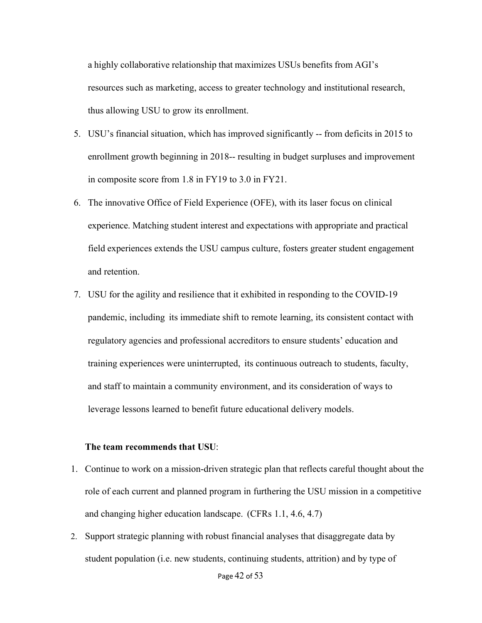a highly collaborative relationship that maximizes USUs benefits from AGI's resources such as marketing, access to greater technology and institutional research, thus allowing USU to grow its enrollment.

- 5. USU's financial situation, which has improved significantly -- from deficits in 2015 to enrollment growth beginning in 2018-- resulting in budget surpluses and improvement in composite score from 1.8 in FY19 to 3.0 in FY21.
- 6. The innovative Office of Field Experience (OFE), with its laser focus on clinical experience. Matching student interest and expectations with appropriate and practical field experiences extends the USU campus culture, fosters greater student engagement and retention.
- 7. USU for the agility and resilience that it exhibited in responding to the COVID-19 pandemic, including its immediate shift to remote learning, its consistent contact with regulatory agencies and professional accreditors to ensure students' education and training experiences were uninterrupted, its continuous outreach to students, faculty, and staff to maintain a community environment, and its consideration of ways to leverage lessons learned to benefit future educational delivery models.

#### **The team recommends that USU**:

- 1. Continue to work on a mission-driven strategic plan that reflects careful thought about the role of each current and planned program in furthering the USU mission in a competitive and changing higher education landscape. (CFRs 1.1, 4.6, 4.7)
- 2. Support strategic planning with robust financial analyses that disaggregate data by student population (i.e. new students, continuing students, attrition) and by type of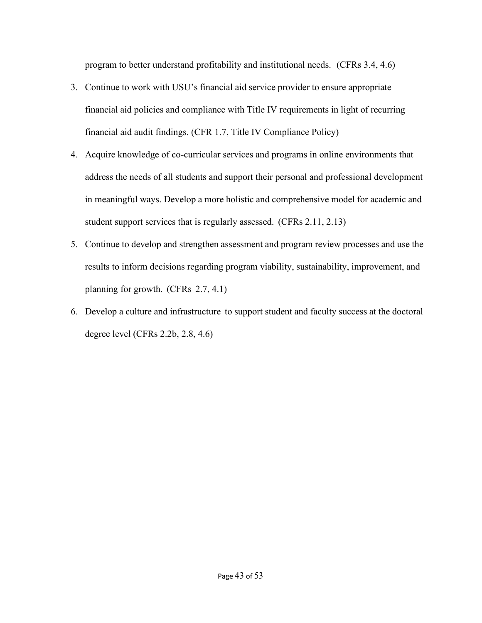program to better understand profitability and institutional needs. (CFRs 3.4, 4.6)

- 3. Continue to work with USU's financial aid service provider to ensure appropriate financial aid policies and compliance with Title IV requirements in light of recurring financial aid audit findings. (CFR 1.7, Title IV Compliance Policy)
- 4. Acquire knowledge of co-curricular services and programs in online environments that address the needs of all students and support their personal and professional development in meaningful ways. Develop a more holistic and comprehensive model for academic and student support services that is regularly assessed. (CFRs 2.11, 2.13)
- 5. Continue to develop and strengthen assessment and program review processes and use the results to inform decisions regarding program viability, sustainability, improvement, and planning for growth. (CFRs 2.7, 4.1)
- 6. Develop a culture and infrastructure to support student and faculty success at the doctoral degree level (CFRs 2.2b, 2.8, 4.6)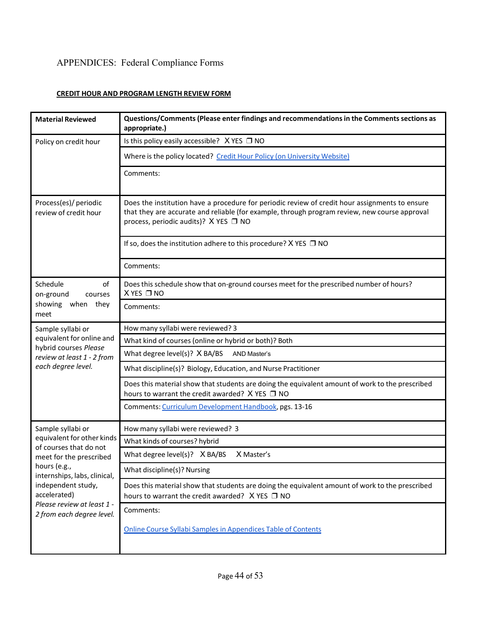# APPENDICES: Federal Compliance Forms

# **CREDIT HOUR AND PROGRAM LENGTH REVIEW FORM**

| <b>Material Reviewed</b>                                                                                                                                                 | Questions/Comments (Please enter findings and recommendations in the Comments sections as<br>appropriate.)                                                                                                                                      |
|--------------------------------------------------------------------------------------------------------------------------------------------------------------------------|-------------------------------------------------------------------------------------------------------------------------------------------------------------------------------------------------------------------------------------------------|
| Policy on credit hour                                                                                                                                                    | Is this policy easily accessible? X YES □ NO                                                                                                                                                                                                    |
|                                                                                                                                                                          | Where is the policy located? Credit Hour Policy (on University Website)                                                                                                                                                                         |
|                                                                                                                                                                          | Comments:                                                                                                                                                                                                                                       |
| Process(es)/ periodic<br>review of credit hour                                                                                                                           | Does the institution have a procedure for periodic review of credit hour assignments to ensure<br>that they are accurate and reliable (for example, through program review, new course approval<br>process, periodic audits)? $X$ YES $\Box$ NO |
|                                                                                                                                                                          | If so, does the institution adhere to this procedure? $X$ YES $\Box$ NO                                                                                                                                                                         |
|                                                                                                                                                                          | Comments:                                                                                                                                                                                                                                       |
| Schedule<br>of<br>on-ground<br>courses                                                                                                                                   | Does this schedule show that on-ground courses meet for the prescribed number of hours?<br>$X$ YES $\square$ NO                                                                                                                                 |
| showing<br>when they<br>meet                                                                                                                                             | Comments:                                                                                                                                                                                                                                       |
| Sample syllabi or                                                                                                                                                        | How many syllabi were reviewed? 3                                                                                                                                                                                                               |
| equivalent for online and<br>hybrid courses Please                                                                                                                       | What kind of courses (online or hybrid or both)? Both                                                                                                                                                                                           |
| review at least 1 - 2 from                                                                                                                                               | What degree level(s)? X BA/BS<br>AND Master's                                                                                                                                                                                                   |
| each degree level.                                                                                                                                                       | What discipline(s)? Biology, Education, and Nurse Practitioner                                                                                                                                                                                  |
|                                                                                                                                                                          | Does this material show that students are doing the equivalent amount of work to the prescribed<br>hours to warrant the credit awarded? X YES □ NO                                                                                              |
|                                                                                                                                                                          | Comments: Curriculum Development Handbook, pgs. 13-16                                                                                                                                                                                           |
| Sample syllabi or                                                                                                                                                        | How many syllabi were reviewed? 3                                                                                                                                                                                                               |
| equivalent for other kinds<br>of courses that do not                                                                                                                     | What kinds of courses? hybrid                                                                                                                                                                                                                   |
| meet for the prescribed<br>hours (e.g.,<br>internships, labs, clinical,<br>independent study,<br>accelerated)<br>Please review at least 1 -<br>2 from each degree level. | X Master's<br>What degree level(s)? X BA/BS                                                                                                                                                                                                     |
|                                                                                                                                                                          | What discipline(s)? Nursing                                                                                                                                                                                                                     |
|                                                                                                                                                                          | Does this material show that students are doing the equivalent amount of work to the prescribed<br>hours to warrant the credit awarded? X YES □ NO                                                                                              |
|                                                                                                                                                                          | Comments:                                                                                                                                                                                                                                       |
|                                                                                                                                                                          | Online Course Syllabi Samples in Appendices Table of Contents                                                                                                                                                                                   |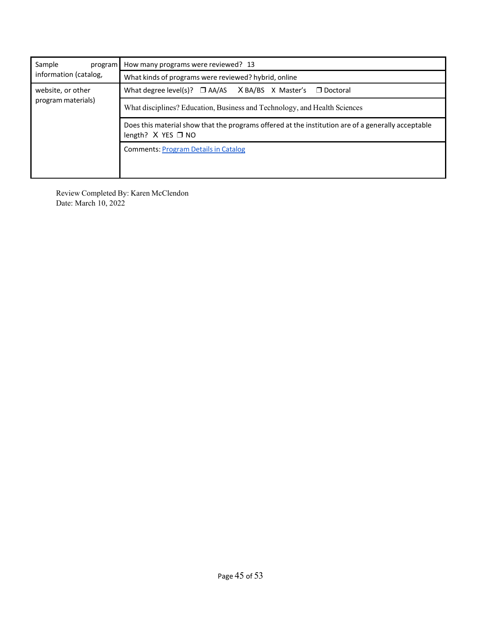| Sample<br>program<br>information (catalog, | How many programs were reviewed? 13                                                                                             |  |
|--------------------------------------------|---------------------------------------------------------------------------------------------------------------------------------|--|
|                                            | What kinds of programs were reviewed? hybrid, online                                                                            |  |
| website, or other<br>program materials)    | What degree level(s)? $\Box$ AA/AS X BA/BS X Master's $\Box$ Doctoral                                                           |  |
|                                            | What disciplines? Education, Business and Technology, and Health Sciences                                                       |  |
|                                            | Does this material show that the programs offered at the institution are of a generally acceptable<br>length? $X$ YES $\Box$ NO |  |
|                                            | <b>Comments: Program Details in Catalog</b>                                                                                     |  |
|                                            |                                                                                                                                 |  |

Review Completed By: Karen McClendon Date: March 10, 2022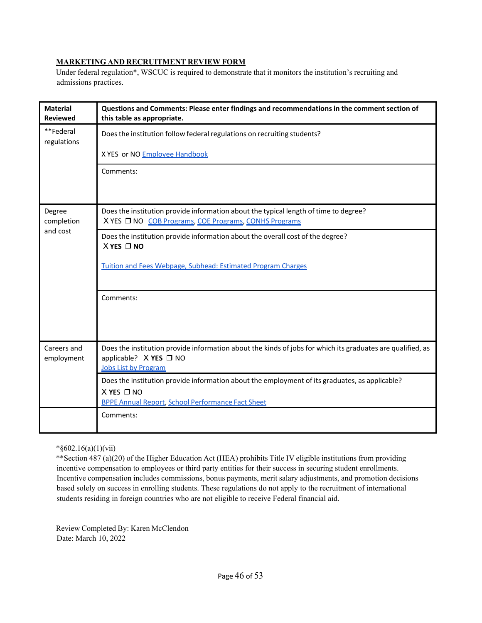#### **MARKETING AND RECRUITMENT REVIEW FORM**

Under federal regulation\*, WSCUC is required to demonstrate that it monitors the institution's recruiting and admissions practices.

| <b>Material</b><br><b>Reviewed</b> | Questions and Comments: Please enter findings and recommendations in the comment section of<br>this table as appropriate.                                                          |
|------------------------------------|------------------------------------------------------------------------------------------------------------------------------------------------------------------------------------|
| **Federal<br>regulations           | Does the institution follow federal regulations on recruiting students?                                                                                                            |
|                                    | X YES or NO Employee Handbook                                                                                                                                                      |
|                                    | Comments:                                                                                                                                                                          |
| Degree<br>completion               | Does the institution provide information about the typical length of time to degree?<br>X YES □ NO COB Programs, COE Programs, CONHS Programs                                      |
| and cost                           | Does the institution provide information about the overall cost of the degree?<br>$X$ YES $\Box$ NO                                                                                |
|                                    | <b>Tuition and Fees Webpage, Subhead: Estimated Program Charges</b>                                                                                                                |
|                                    | Comments:                                                                                                                                                                          |
| Careers and<br>employment          | Does the institution provide information about the kinds of jobs for which its graduates are qualified, as<br>applicable? $X$ YES $\Box$ NO<br><b>Jobs List by Program</b>         |
|                                    | Does the institution provide information about the employment of its graduates, as applicable?<br>$X$ YES $\square$ NO<br><b>BPPE Annual Report, School Performance Fact Sheet</b> |
|                                    | Comments:                                                                                                                                                                          |

\*§602.16(a)(1)(vii)

\*\*Section 487 (a)(20) of the Higher Education Act (HEA) prohibits Title IV eligible institutions from providing incentive compensation to employees or third party entities for their success in securing student enrollments. Incentive compensation includes commissions, bonus payments, merit salary adjustments, and promotion decisions based solely on success in enrolling students. These regulations do not apply to the recruitment of international students residing in foreign countries who are not eligible to receive Federal financial aid.

Review Completed By: Karen McClendon Date: March 10, 2022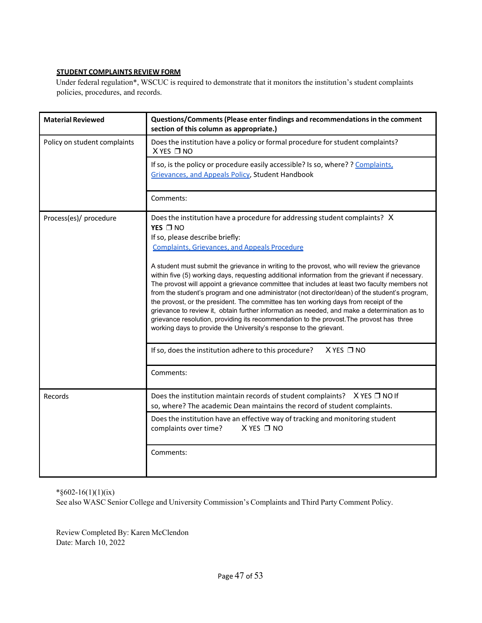## **STUDENT COMPLAINTS REVIEW FORM**

Under federal regulation\*, WSCUC is required to demonstrate that it monitors the institution's student complaints policies, procedures, and records.

| <b>Material Reviewed</b>     | Questions/Comments (Please enter findings and recommendations in the comment<br>section of this column as appropriate.)                                                                                                                                                                                                                                                                                                                                                                                                                                                                                                                                                                                                                                                                                                                                                                                                                                                                                                   |  |
|------------------------------|---------------------------------------------------------------------------------------------------------------------------------------------------------------------------------------------------------------------------------------------------------------------------------------------------------------------------------------------------------------------------------------------------------------------------------------------------------------------------------------------------------------------------------------------------------------------------------------------------------------------------------------------------------------------------------------------------------------------------------------------------------------------------------------------------------------------------------------------------------------------------------------------------------------------------------------------------------------------------------------------------------------------------|--|
| Policy on student complaints | Does the institution have a policy or formal procedure for student complaints?<br>X YES □ NO                                                                                                                                                                                                                                                                                                                                                                                                                                                                                                                                                                                                                                                                                                                                                                                                                                                                                                                              |  |
|                              | If so, is the policy or procedure easily accessible? Is so, where? ? Complaints.<br>Grievances, and Appeals Policy, Student Handbook                                                                                                                                                                                                                                                                                                                                                                                                                                                                                                                                                                                                                                                                                                                                                                                                                                                                                      |  |
|                              | Comments:                                                                                                                                                                                                                                                                                                                                                                                                                                                                                                                                                                                                                                                                                                                                                                                                                                                                                                                                                                                                                 |  |
| Process(es)/ procedure       | Does the institution have a procedure for addressing student complaints? X<br>YES □ NO<br>If so, please describe briefly:<br><b>Complaints, Grievances, and Appeals Procedure</b><br>A student must submit the grievance in writing to the provost, who will review the grievance<br>within five (5) working days, requesting additional information from the grievant if necessary.<br>The provost will appoint a grievance committee that includes at least two faculty members not<br>from the student's program and one administrator (not director/dean) of the student's program,<br>the provost, or the president. The committee has ten working days from receipt of the<br>grievance to review it, obtain further information as needed, and make a determination as to<br>grievance resolution, providing its recommendation to the provost. The provost has three<br>working days to provide the University's response to the grievant.<br>X YES □ NO<br>If so, does the institution adhere to this procedure? |  |
|                              | Comments:                                                                                                                                                                                                                                                                                                                                                                                                                                                                                                                                                                                                                                                                                                                                                                                                                                                                                                                                                                                                                 |  |
| Records                      | Does the institution maintain records of student complaints? $X$ YES $\Box$ NO If<br>so, where? The academic Dean maintains the record of student complaints.                                                                                                                                                                                                                                                                                                                                                                                                                                                                                                                                                                                                                                                                                                                                                                                                                                                             |  |
|                              | Does the institution have an effective way of tracking and monitoring student<br>complaints over time?<br>$X$ YES $\Box$ NO                                                                                                                                                                                                                                                                                                                                                                                                                                                                                                                                                                                                                                                                                                                                                                                                                                                                                               |  |
|                              | Comments:                                                                                                                                                                                                                                                                                                                                                                                                                                                                                                                                                                                                                                                                                                                                                                                                                                                                                                                                                                                                                 |  |

\*§602-16(1)(1)(ix)

See also WASC Senior College and University Commission's Complaints and Third Party Comment Policy.

Review Completed By: Karen McClendon Date: March 10, 2022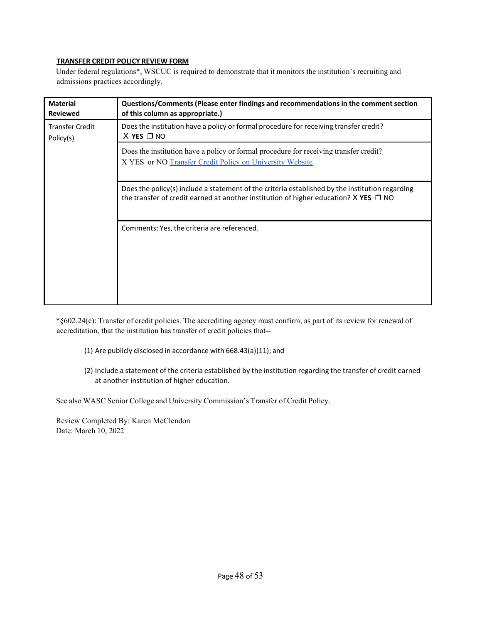#### **TRANSFER CREDIT POLICY REVIEW FORM**

Under federal regulations\*, WSCUC is required to demonstrate that it monitors the institution's recruiting and admissions practices accordingly.

| <b>Material</b><br><b>Reviewed</b>  | Questions/Comments (Please enter findings and recommendations in the comment section<br>of this column as appropriate.)                                                                        |
|-------------------------------------|------------------------------------------------------------------------------------------------------------------------------------------------------------------------------------------------|
| <b>Transfer Credit</b><br>Policy(s) | Does the institution have a policy or formal procedure for receiving transfer credit?<br>$X$ YES $\Box$ NO                                                                                     |
|                                     | Does the institution have a policy or formal procedure for receiving transfer credit?<br>X YES or NO Transfer Credit Policy on University Website                                              |
|                                     | Does the policy(s) include a statement of the criteria established by the institution regarding<br>the transfer of credit earned at another institution of higher education? $X$ YES $\Box$ NO |
|                                     | Comments: Yes, the criteria are referenced.                                                                                                                                                    |

\*§602.24(e): Transfer of credit policies. The accrediting agency must confirm, as part of its review for renewal of accreditation, that the institution has transfer of credit policies that--

- (1) Are publicly disclosed in accordance with 668.43(a)(11); and
- (2) Include a statement of the criteria established by the institution regarding the transfer of credit earned at another institution of higher education.

See also WASC Senior College and University Commission's Transfer of Credit Policy.

Review Completed By: Karen McClendon Date: March 10, 2022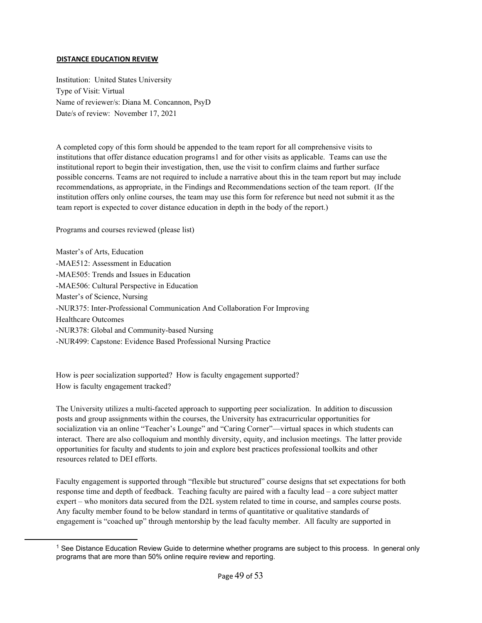#### **DISTANCE EDUCATION REVIEW**

Institution: United States University Type of Visit: Virtual Name of reviewer/s: Diana M. Concannon, PsyD Date/s of review: November 17, 2021

A completed copy of this form should be appended to the team report for all comprehensive visits to institutions that offer distance education programs[1](#page-48-0) and for other visits as applicable. Teams can use the institutional report to begin their investigation, then, use the visit to confirm claims and further surface possible concerns. Teams are not required to include a narrative about this in the team report but may include recommendations, as appropriate, in the Findings and Recommendations section of the team report. (If the institution offers only online courses, the team may use this form for reference but need not submit it as the team report is expected to cover distance education in depth in the body of the report.)

Programs and courses reviewed (please list)

Master's of Arts, Education -MAE512: Assessment in Education -MAE505: Trends and Issues in Education -MAE506: Cultural Perspective in Education Master's of Science, Nursing -NUR375: Inter-Professional Communication And Collaboration For Improving Healthcare Outcomes -NUR378: Global and Community-based Nursing -NUR499: Capstone: Evidence Based Professional Nursing Practice

How is peer socialization supported? How is faculty engagement supported? How is faculty engagement tracked?

The University utilizes a multi-faceted approach to supporting peer socialization. In addition to discussion posts and group assignments within the courses, the University has extracurricular opportunities for socialization via an online "Teacher's Lounge" and "Caring Corner"—virtual spaces in which students can interact. There are also colloquium and monthly diversity, equity, and inclusion meetings. The latter provide opportunities for faculty and students to join and explore best practices professional toolkits and other resources related to DEI efforts.

Faculty engagement is supported through "flexible but structured" course designs that set expectations for both response time and depth of feedback. Teaching faculty are paired with a faculty lead – a core subject matter expert – who monitors data secured from the D2L system related to time in course, and samples course posts. Any faculty member found to be below standard in terms of quantitative or qualitative standards of engagement is "coached up" through mentorship by the lead faculty member. All faculty are supported in

<span id="page-48-0"></span><sup>&</sup>lt;sup>1</sup> See Distance Education Review Guide to determine whether programs are subject to this process. In general only programs that are more than 50% online require review and reporting.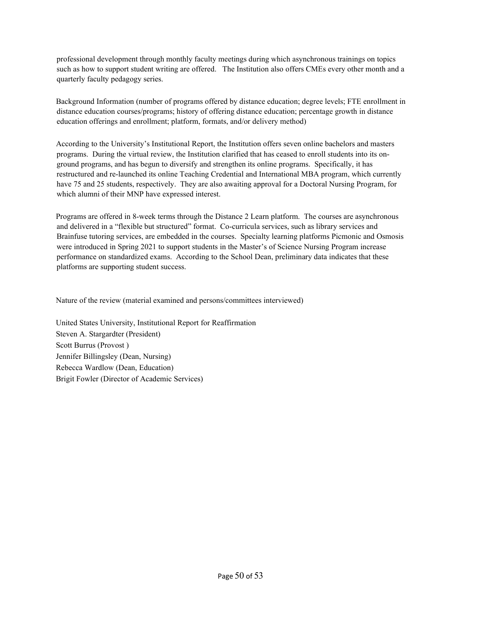professional development through monthly faculty meetings during which asynchronous trainings on topics such as how to support student writing are offered. The Institution also offers CMEs every other month and a quarterly faculty pedagogy series.

Background Information (number of programs offered by distance education; degree levels; FTE enrollment in distance education courses/programs; history of offering distance education; percentage growth in distance education offerings and enrollment; platform, formats, and/or delivery method)

According to the University's Institutional Report, the Institution offers seven online bachelors and masters programs. During the virtual review, the Institution clarified that has ceased to enroll students into its onground programs, and has begun to diversify and strengthen its online programs. Specifically, it has restructured and re-launched its online Teaching Credential and International MBA program, which currently have 75 and 25 students, respectively. They are also awaiting approval for a Doctoral Nursing Program, for which alumni of their MNP have expressed interest.

Programs are offered in 8-week terms through the Distance 2 Learn platform. The courses are asynchronous and delivered in a "flexible but structured" format. Co-curricula services, such as library services and Brainfuse tutoring services, are embedded in the courses. Specialty learning platforms Picmonic and Osmosis were introduced in Spring 2021 to support students in the Master's of Science Nursing Program increase performance on standardized exams. According to the School Dean, preliminary data indicates that these platforms are supporting student success.

Nature of the review (material examined and persons/committees interviewed)

United States University, Institutional Report for Reaffirmation Steven A. Stargardter (President) Scott Burrus (Provost ) Jennifer Billingsley (Dean, Nursing) Rebecca Wardlow (Dean, Education) Brigit Fowler (Director of Academic Services)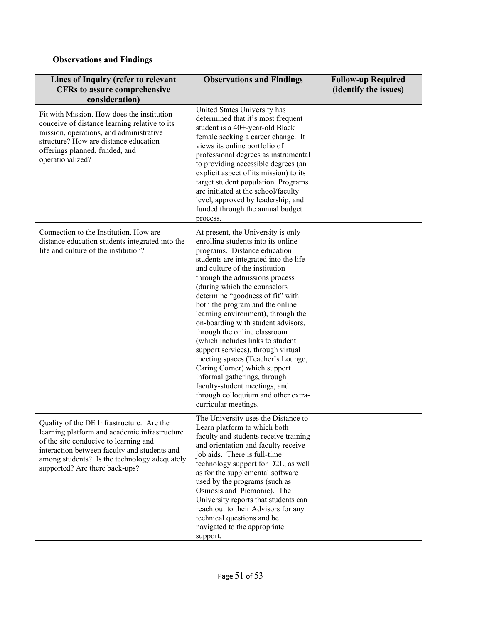# **Observations and Findings**

| Lines of Inquiry (refer to relevant<br><b>CFRs</b> to assure comprehensive<br>consideration)                                                                                                                                                                          | <b>Observations and Findings</b>                                                                                                                                                                                                                                                                                                                                                                                                                                                                                                                                                                                                                                                                                        | <b>Follow-up Required</b><br>(identify the issues) |
|-----------------------------------------------------------------------------------------------------------------------------------------------------------------------------------------------------------------------------------------------------------------------|-------------------------------------------------------------------------------------------------------------------------------------------------------------------------------------------------------------------------------------------------------------------------------------------------------------------------------------------------------------------------------------------------------------------------------------------------------------------------------------------------------------------------------------------------------------------------------------------------------------------------------------------------------------------------------------------------------------------------|----------------------------------------------------|
| Fit with Mission. How does the institution<br>conceive of distance learning relative to its<br>mission, operations, and administrative<br>structure? How are distance education<br>offerings planned, funded, and<br>operationalized?                                 | United States University has<br>determined that it's most frequent<br>student is a 40+-year-old Black<br>female seeking a career change. It<br>views its online portfolio of<br>professional degrees as instrumental<br>to providing accessible degrees (an<br>explicit aspect of its mission) to its<br>target student population. Programs<br>are initiated at the school/faculty<br>level, approved by leadership, and<br>funded through the annual budget<br>process.                                                                                                                                                                                                                                               |                                                    |
| Connection to the Institution. How are<br>distance education students integrated into the<br>life and culture of the institution?                                                                                                                                     | At present, the University is only<br>enrolling students into its online<br>programs. Distance education<br>students are integrated into the life<br>and culture of the institution<br>through the admissions process<br>(during which the counselors<br>determine "goodness of fit" with<br>both the program and the online<br>learning environment), through the<br>on-boarding with student advisors,<br>through the online classroom<br>(which includes links to student<br>support services), through virtual<br>meeting spaces (Teacher's Lounge,<br>Caring Corner) which support<br>informal gatherings, through<br>faculty-student meetings, and<br>through colloquium and other extra-<br>curricular meetings. |                                                    |
| Quality of the DE Infrastructure. Are the<br>learning platform and academic infrastructure<br>of the site conducive to learning and<br>interaction between faculty and students and<br>among students? Is the technology adequately<br>supported? Are there back-ups? | The University uses the Distance to<br>Learn platform to which both<br>faculty and students receive training<br>and orientation and faculty receive<br>job aids. There is full-time<br>technology support for D2L, as well<br>as for the supplemental software<br>used by the programs (such as<br>Osmosis and Picmonic). The<br>University reports that students can<br>reach out to their Advisors for any<br>technical questions and be<br>navigated to the appropriate<br>support.                                                                                                                                                                                                                                  |                                                    |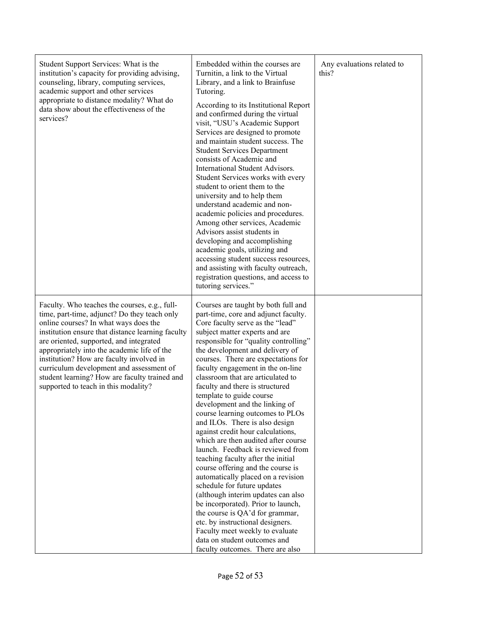| Student Support Services: What is the<br>institution's capacity for providing advising,<br>counseling, library, computing services,<br>academic support and other services<br>appropriate to distance modality? What do<br>data show about the effectiveness of the<br>services?                                                                                                                                                                                       | Embedded within the courses are<br>Turnitin, a link to the Virtual<br>Library, and a link to Brainfuse<br>Tutoring.<br>According to its Institutional Report<br>and confirmed during the virtual<br>visit, "USU's Academic Support<br>Services are designed to promote<br>and maintain student success. The<br><b>Student Services Department</b><br>consists of Academic and<br>International Student Advisors.<br>Student Services works with every<br>student to orient them to the<br>university and to help them<br>understand academic and non-<br>academic policies and procedures.<br>Among other services, Academic<br>Advisors assist students in<br>developing and accomplishing<br>academic goals, utilizing and<br>accessing student success resources,<br>and assisting with faculty outreach,<br>registration questions, and access to<br>tutoring services."                                                                                                                                                                     | Any evaluations related to<br>this? |
|------------------------------------------------------------------------------------------------------------------------------------------------------------------------------------------------------------------------------------------------------------------------------------------------------------------------------------------------------------------------------------------------------------------------------------------------------------------------|--------------------------------------------------------------------------------------------------------------------------------------------------------------------------------------------------------------------------------------------------------------------------------------------------------------------------------------------------------------------------------------------------------------------------------------------------------------------------------------------------------------------------------------------------------------------------------------------------------------------------------------------------------------------------------------------------------------------------------------------------------------------------------------------------------------------------------------------------------------------------------------------------------------------------------------------------------------------------------------------------------------------------------------------------|-------------------------------------|
| Faculty. Who teaches the courses, e.g., full-<br>time, part-time, adjunct? Do they teach only<br>online courses? In what ways does the<br>institution ensure that distance learning faculty<br>are oriented, supported, and integrated<br>appropriately into the academic life of the<br>institution? How are faculty involved in<br>curriculum development and assessment of<br>student learning? How are faculty trained and<br>supported to teach in this modality? | Courses are taught by both full and<br>part-time, core and adjunct faculty.<br>Core faculty serve as the "lead"<br>subject matter experts and are<br>responsible for "quality controlling"<br>the development and delivery of<br>courses. There are expectations for<br>faculty engagement in the on-line<br>classroom that are articulated to<br>faculty and there is structured<br>template to guide course<br>development and the linking of<br>course learning outcomes to PLOs<br>and ILOs. There is also design<br>against credit hour calculations,<br>which are then audited after course<br>launch. Feedback is reviewed from<br>teaching faculty after the initial<br>course offering and the course is<br>automatically placed on a revision<br>schedule for future updates<br>(although interim updates can also<br>be incorporated). Prior to launch,<br>the course is QA'd for grammar,<br>etc. by instructional designers.<br>Faculty meet weekly to evaluate<br>data on student outcomes and<br>faculty outcomes. There are also |                                     |